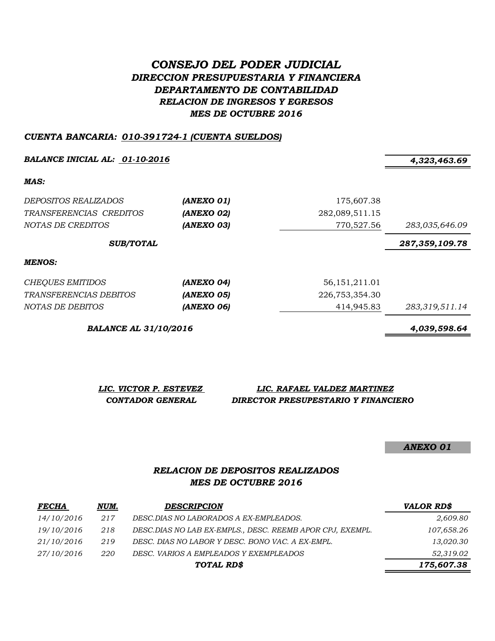# *CONSEJO DEL PODER JUDICIAL DIRECCION PRESUPUESTARIA Y FINANCIERA DEPARTAMENTO DE CONTABILIDAD RELACION DE INGRESOS Y EGRESOS MES DE OCTUBRE 2016*

#### *CUENTA BANCARIA: 010-391724-1 (CUENTA SUELDOS)*

*BALANCE INICIAL AL: 01-10-2016 4,323,463.69*

*MAS:*

| DEPOSITOS REALIZADOS<br>TRANSFERENCIAS CREDITOS<br>NOTAS DE CREDITOS | (ANEXO 01)<br>(ANEXO 02)<br>(ANEXO 03) | 175,607.38<br>282,089,511.15<br>770,527.56 | 283,035,646.09 |
|----------------------------------------------------------------------|----------------------------------------|--------------------------------------------|----------------|
| <b>SUB/TOTAL</b>                                                     |                                        |                                            | 287,359,109.78 |
| MENOS:                                                               |                                        |                                            |                |
| <b>CHEQUES EMITIDOS</b>                                              | (ANEXO 04)                             | 56, 151, 211. 01                           |                |
| <i>TRANSFERENCIAS DEBITOS</i>                                        | (ANEXO 05)                             | 226,753,354.30                             |                |
| NOTAS DE DEBITOS                                                     | (ANEXO 06)                             | 414,945.83                                 | 283,319,511.14 |

*BALANCE AL 31/10/2016 4,039,598.64*

*LIC. VICTOR P. ESTEVEZ LIC. RAFAEL VALDEZ MARTINEZ*

#### *CONTADOR GENERAL DIRECTOR PRESUPESTARIO Y FINANCIERO*

#### *ANEXO 01*

### *RELACION DE DEPOSITOS REALIZADOS MES DE OCTUBRE 2016*

| <b>FECHA</b> | NUM. | <b>DESCRIPCION</b>                                         | <b>VALOR RD\$</b> |
|--------------|------|------------------------------------------------------------|-------------------|
| 14/10/2016   | 217  | DESC.DIAS NO LABORADOS A EX-EMPLEADOS.                     | 2,609.80          |
| 19/10/2016   | 218  | DESC. DIAS NO LAB EX-EMPLS., DESC. REEMB APOR CPJ, EXEMPL. | 107,658.26        |
| 21/10/2016   | 219  | DESC. DIAS NO LABOR Y DESC. BONO VAC. A EX-EMPL.           | 13,020.30         |
| 27/10/2016   | 220  | DESC. VARIOS A EMPLEADOS Y EXEMPLEADOS                     | 52,319.02         |
|              |      | TOTAL RD\$                                                 | 175,607.38        |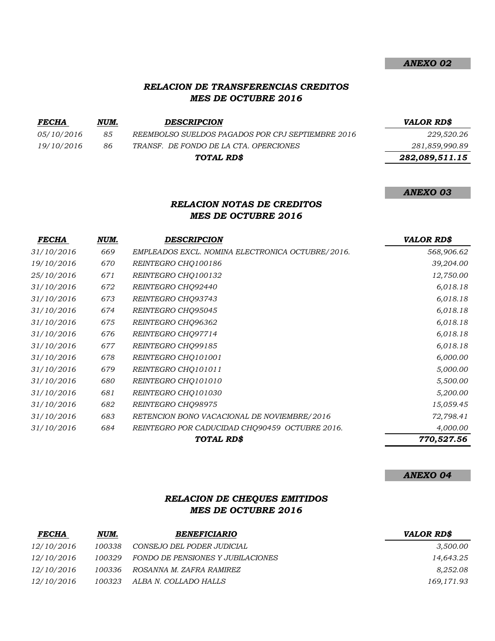#### *RELACION DE TRANSFERENCIAS CREDITOS MES DE OCTUBRE 2016*

| <i>FECHA</i> | NUM. | <b>DESCRIPCION</b>                                | <b>VALOR RDS</b> |
|--------------|------|---------------------------------------------------|------------------|
| 05/10/2016   | 85   | REEMBOLSO SUELDOS PAGADOS POR CPJ SEPTIEMBRE 2016 | 229,520.26       |
| 19/10/2016   | 86   | TRANSF. DE FONDO DE LA CTA. OPERCIONES            | 281,859,990.89   |
|              |      | TOTAL RD\$                                        | 282,089,511.15   |

### *RELACION NOTAS DE CREDITOS MES DE OCTUBRE 2016*

| <b>FECHA</b>      | NUM. | <b>DESCRIPCION</b>                               | <b>VALOR RD\$</b> |
|-------------------|------|--------------------------------------------------|-------------------|
| 31/10/2016        | 669  | EMPLEADOS EXCL. NOMINA ELECTRONICA OCTUBRE/2016. | 568,906.62        |
| 19/10/2016        | 670  | REINTEGRO CHQ100186                              | 39,204.00         |
| <i>25/10/2016</i> | 671  | REINTEGRO CHQ100132                              | 12,750.00         |
| 31/10/2016        | 672  | REINTEGRO CHQ92440                               | 6,018.18          |
| 31/10/2016        | 673  | REINTEGRO CHQ93743                               | 6,018.18          |
| 31/10/2016        | 674  | REINTEGRO CHQ95045                               | 6,018.18          |
| 31/10/2016        | 675  | REINTEGRO CHQ96362                               | 6,018.18          |
| 31/10/2016        | 676  | REINTEGRO CHQ97714                               | 6,018.18          |
| 31/10/2016        | 677  | REINTEGRO CHQ99185                               | 6,018.18          |
| 31/10/2016        | 678  | REINTEGRO CHQ101001                              | 6,000.00          |
| 31/10/2016        | 679  | REINTEGRO CHO101011                              | 5,000.00          |
| 31/10/2016        | 680  | REINTEGRO CHQ101010                              | 5,500.00          |
| 31/10/2016        | 681  | REINTEGRO CHO101030                              | 5,200.00          |
| 31/10/2016        | 682  | REINTEGRO CHO98975                               | 15,059.45         |
| 31/10/2016        | 683  | RETENCION BONO VACACIONAL DE NOVIEMBRE/2016      | 72,798.41         |
| 31/10/2016        | 684  | REINTEGRO POR CADUCIDAD CHQ90459 OCTUBRE 2016.   | 4,000.00          |
|                   |      | TOTAL RD\$                                       | 770,527.56        |

*ANEXO 04*

*ANEXO 02*

*ANEXO 03*

## *RELACION DE CHEQUES EMITIDOS MES DE OCTUBRE 2016*

| <b>FECHA</b> | NUM.   | <b>BENEFICIARIO</b>               | <b>VALOR RD\$</b> |
|--------------|--------|-----------------------------------|-------------------|
| 12/10/2016   | 100338 | CONSEJO DEL PODER JUDICIAL        | 3,500.00          |
| 12/10/2016   | 100329 | FONDO DE PENSIONES Y JUBILACIONES | 14,643.25         |
| 12/10/2016   | 100336 | ROSANNA M. ZAFRA RAMIREZ          | 8,252.08          |
| 12/10/2016   | 100323 | ALBA N. COLLADO HALLS             | 169,171.93        |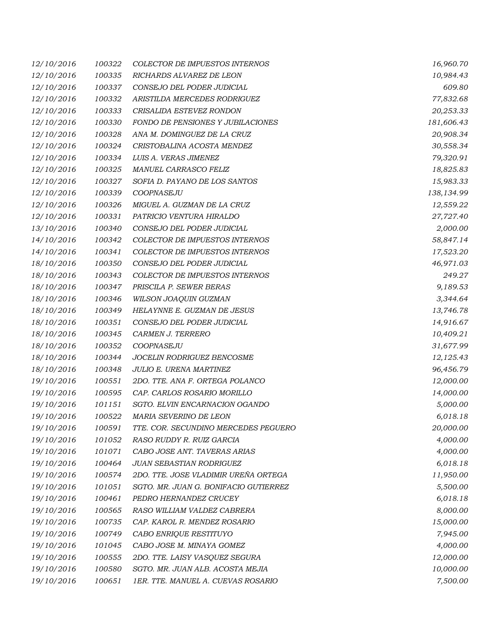| 12/10/2016 | 100322 | <b>COLECTOR DE IMPUESTOS INTERNOS</b> | 16,960.70  |
|------------|--------|---------------------------------------|------------|
| 12/10/2016 | 100335 | RICHARDS ALVAREZ DE LEON              | 10,984.43  |
| 12/10/2016 | 100337 | CONSEJO DEL PODER JUDICIAL            | 609.80     |
| 12/10/2016 | 100332 | ARISTILDA MERCEDES RODRIGUEZ          | 77,832.68  |
| 12/10/2016 | 100333 | CRISALIDA ESTEVEZ RONDON              | 20,253.33  |
| 12/10/2016 | 100330 | FONDO DE PENSIONES Y JUBILACIONES     | 181,606.43 |
| 12/10/2016 | 100328 | ANA M. DOMINGUEZ DE LA CRUZ           | 20,908.34  |
| 12/10/2016 | 100324 | CRISTOBALINA ACOSTA MENDEZ            | 30,558.34  |
| 12/10/2016 | 100334 | LUIS A. VERAS JIMENEZ                 | 79,320.91  |
| 12/10/2016 | 100325 | MANUEL CARRASCO FELIZ                 | 18,825.83  |
| 12/10/2016 | 100327 | SOFIA D. PAYANO DE LOS SANTOS         | 15,983.33  |
| 12/10/2016 | 100339 | COOPNASEJU                            | 138,134.99 |
| 12/10/2016 | 100326 | MIGUEL A. GUZMAN DE LA CRUZ           | 12,559.22  |
| 12/10/2016 | 100331 | PATRICIO VENTURA HIRALDO              | 27,727.40  |
| 13/10/2016 | 100340 | CONSEJO DEL PODER JUDICIAL            | 2,000.00   |
| 14/10/2016 | 100342 | COLECTOR DE IMPUESTOS INTERNOS        | 58,847.14  |
| 14/10/2016 | 100341 | COLECTOR DE IMPUESTOS INTERNOS        | 17,523.20  |
| 18/10/2016 | 100350 | CONSEJO DEL PODER JUDICIAL            | 46,971.03  |
| 18/10/2016 | 100343 | COLECTOR DE IMPUESTOS INTERNOS        | 249.27     |
| 18/10/2016 | 100347 | PRISCILA P. SEWER BERAS               | 9,189.53   |
| 18/10/2016 | 100346 | WILSON JOAQUIN GUZMAN                 | 3,344.64   |
| 18/10/2016 | 100349 | HELAYNNE E. GUZMAN DE JESUS           | 13,746.78  |
| 18/10/2016 | 100351 | CONSEJO DEL PODER JUDICIAL            | 14,916.67  |
| 18/10/2016 | 100345 | CARMEN J. TERRERO                     | 10,409.21  |
| 18/10/2016 | 100352 | COOPNASEJU                            | 31,677.99  |
| 18/10/2016 | 100344 | JOCELIN RODRIGUEZ BENCOSME            | 12,125.43  |
| 18/10/2016 | 100348 | JULIO E. URENA MARTINEZ               | 96,456.79  |
| 19/10/2016 | 100551 | 2DO. TTE. ANA F. ORTEGA POLANCO       | 12,000.00  |
| 19/10/2016 | 100595 | CAP. CARLOS ROSARIO MORILLO           | 14,000.00  |
| 19/10/2016 | 101151 | SGTO. ELVIN ENCARNACION OGANDO        | 5,000.00   |
| 19/10/2016 | 100522 | MARIA SEVERINO DE LEON                | 6,018.18   |
| 19/10/2016 | 100591 | TTE. COR. SECUNDINO MERCEDES PEGUERO  | 20,000.00  |
| 19/10/2016 | 101052 | RASO RUDDY R. RUIZ GARCIA             | 4,000.00   |
| 19/10/2016 | 101071 | CABO JOSE ANT. TAVERAS ARIAS          | 4,000.00   |
| 19/10/2016 | 100464 | JUAN SEBASTIAN RODRIGUEZ              | 6,018.18   |
| 19/10/2016 | 100574 | 2DO. TTE. JOSE VLADIMIR UREÑA ORTEGA  | 11,950.00  |
| 19/10/2016 | 101051 | SGTO. MR. JUAN G. BONIFACIO GUTIERREZ | 5,500.00   |
| 19/10/2016 | 100461 | PEDRO HERNANDEZ CRUCEY                | 6,018.18   |
| 19/10/2016 | 100565 | RASO WILLIAM VALDEZ CABRERA           | 8,000.00   |
| 19/10/2016 | 100735 | CAP. KAROL R. MENDEZ ROSARIO          | 15,000.00  |
| 19/10/2016 | 100749 | CABO ENRIQUE RESTITUYO                | 7,945.00   |
| 19/10/2016 | 101045 | CABO JOSE M. MINAYA GOMEZ             | 4,000.00   |
| 19/10/2016 | 100555 | 2DO. TTE. LAISY VASQUEZ SEGURA        | 12,000.00  |
| 19/10/2016 | 100580 | SGTO. MR. JUAN ALB. ACOSTA MEJIA      | 10,000.00  |
| 19/10/2016 | 100651 | 1ER. TTE. MANUEL A. CUEVAS ROSARIO    | 7,500.00   |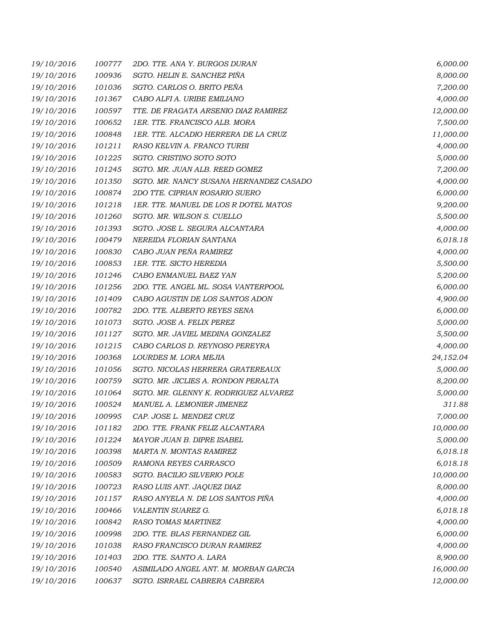| 19/10/2016 | 100777 | 2DO. TTE, ANA Y. BURGOS DURAN           | 6,000.00  |
|------------|--------|-----------------------------------------|-----------|
| 19/10/2016 | 100936 | SGTO. HELIN E. SANCHEZ PIÑA             | 8,000.00  |
| 19/10/2016 | 101036 | SGTO. CARLOS O. BRITO PEÑA              | 7,200.00  |
| 19/10/2016 | 101367 | CABO ALFI A. URIBE EMILIANO             | 4,000.00  |
| 19/10/2016 | 100597 | TTE. DE FRAGATA ARSENIO DIAZ RAMIREZ    | 12,000.00 |
| 19/10/2016 | 100652 | 1ER. TTE. FRANCISCO ALB. MORA           | 7,500.00  |
| 19/10/2016 | 100848 | 1ER. TTE. ALCADIO HERRERA DE LA CRUZ    | 11,000.00 |
| 19/10/2016 | 101211 | RASO KELVIN A. FRANCO TURBI             | 4,000.00  |
| 19/10/2016 | 101225 | SGTO. CRISTINO SOTO SOTO                | 5,000.00  |
| 19/10/2016 | 101245 | SGTO. MR. JUAN ALB. REED GOMEZ          | 7,200.00  |
| 19/10/2016 | 101350 | SGTO. MR. NANCY SUSANA HERNANDEZ CASADO | 4,000.00  |
| 19/10/2016 | 100874 | 2DO TTE. CIPRIAN ROSARIO SUERO          | 6,000.00  |
| 19/10/2016 | 101218 | 1ER. TTE. MANUEL DE LOS R DOTEL MATOS   | 9,200.00  |
| 19/10/2016 | 101260 | SGTO. MR. WILSON S. CUELLO              | 5,500.00  |
| 19/10/2016 | 101393 | SGTO. JOSE L. SEGURA ALCANTARA          | 4,000.00  |
| 19/10/2016 | 100479 | NEREIDA FLORIAN SANTANA                 | 6,018.18  |
| 19/10/2016 | 100830 | CABO JUAN PEÑA RAMIREZ                  | 4,000.00  |
| 19/10/2016 | 100853 | 1ER. TTE. SICTO HEREDIA                 | 5,500.00  |
| 19/10/2016 | 101246 | CABO ENMANUEL BAEZ YAN                  | 5,200.00  |
| 19/10/2016 | 101256 | 2DO. TTE. ANGEL ML. SOSA VANTERPOOL     | 6,000.00  |
| 19/10/2016 | 101409 | CABO AGUSTIN DE LOS SANTOS ADON         | 4,900.00  |
| 19/10/2016 | 100782 | 2DO. TTE. ALBERTO REYES SENA            | 6,000.00  |
| 19/10/2016 | 101073 | SGTO. JOSE A. FELIX PEREZ               | 5,000.00  |
| 19/10/2016 | 101127 | SGTO. MR. JAVIEL MEDINA GONZALEZ        | 5,500.00  |
| 19/10/2016 | 101215 | CABO CARLOS D. REYNOSO PEREYRA          | 4,000.00  |
| 19/10/2016 | 100368 | LOURDES M. LORA MEJIA                   | 24,152.04 |
| 19/10/2016 | 101056 | SGTO. NICOLAS HERRERA GRATEREAUX        | 5,000.00  |
| 19/10/2016 | 100759 | SGTO. MR. JICLIES A. RONDON PERALTA     | 8,200.00  |
| 19/10/2016 | 101064 | SGTO. MR. GLENNY K. RODRIGUEZ ALVAREZ   | 5,000.00  |
| 19/10/2016 | 100524 | MANUEL A. LEMONIER JIMENEZ              | 311.88    |
| 19/10/2016 | 100995 | CAP. JOSE L. MENDEZ CRUZ                | 7,000.00  |
| 19/10/2016 | 101182 | 2DO. TTE. FRANK FELIZ ALCANTARA         | 10,000.00 |
| 19/10/2016 | 101224 | <b>MAYOR JUAN B. DIPRE ISABEL</b>       | 5,000.00  |
| 19/10/2016 | 100398 | MARTA N. MONTAS RAMIREZ                 | 6,018.18  |
| 19/10/2016 | 100509 | RAMONA REYES CARRASCO                   | 6,018.18  |
| 19/10/2016 | 100583 | SGTO. BACILIO SILVERIO POLE             | 10,000.00 |
| 19/10/2016 | 100723 | RASO LUIS ANT. JAQUEZ DIAZ              | 8,000.00  |
| 19/10/2016 | 101157 | RASO ANYELA N. DE LOS SANTOS PIÑA       | 4,000.00  |
| 19/10/2016 | 100466 | VALENTIN SUAREZ G.                      | 6,018.18  |
| 19/10/2016 | 100842 | RASO TOMAS MARTINEZ                     | 4,000.00  |
| 19/10/2016 | 100998 | 2DO. TTE. BLAS FERNANDEZ GIL            | 6,000.00  |
| 19/10/2016 | 101038 | RASO FRANCISCO DURAN RAMIREZ            | 4,000.00  |
| 19/10/2016 | 101403 | 2DO. TTE. SANTO A. LARA                 | 8,900.00  |
| 19/10/2016 | 100540 | ASIMILADO ANGEL ANT. M. MORBAN GARCIA   | 16,000.00 |
| 19/10/2016 | 100637 | SGTO. ISRRAEL CABRERA CABRERA           | 12,000.00 |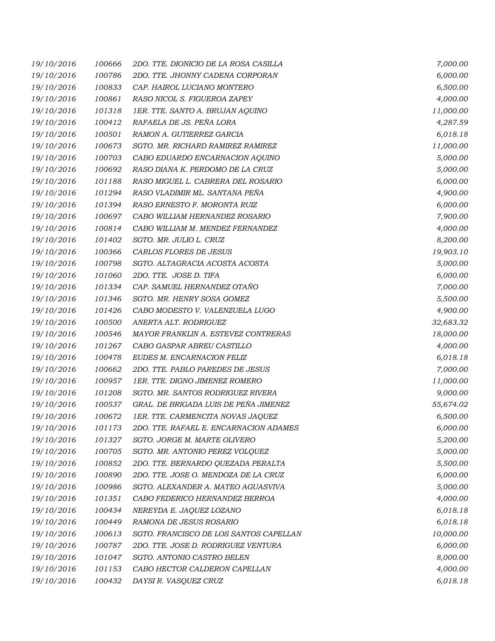| 19/10/2016 | 100666 | 2DO. TTE. DIONICIO DE LA ROSA CASILLA  | 7,000.00  |
|------------|--------|----------------------------------------|-----------|
| 19/10/2016 | 100786 | 2DO. TTE. JHONNY CADENA CORPORAN       | 6,000.00  |
| 19/10/2016 | 100833 | CAP. HAIROL LUCIANO MONTERO            | 6,500.00  |
| 19/10/2016 | 100861 | RASO NICOL S. FIGUEROA ZAPEY           | 4,000.00  |
| 19/10/2016 | 101318 | 1ER. TTE. SANTO A. BRUJAN AQUINO       | 11,000.00 |
| 19/10/2016 | 100412 | RAFAELA DE JS. PEÑA LORA               | 4,287.59  |
| 19/10/2016 | 100501 | RAMON A. GUTIERREZ GARCIA              | 6,018.18  |
| 19/10/2016 | 100673 | SGTO. MR. RICHARD RAMIREZ RAMIREZ      | 11,000.00 |
| 19/10/2016 | 100703 | CABO EDUARDO ENCARNACION AQUINO        | 5,000.00  |
| 19/10/2016 | 100692 | RASO DIANA K. PERDOMO DE LA CRUZ       | 5,000.00  |
| 19/10/2016 | 101188 | RASO MIGUEL L. CABRERA DEL ROSARIO     | 6,000.00  |
| 19/10/2016 | 101294 | RASO VLADIMIR ML. SANTANA PEÑA         | 4,900.00  |
| 19/10/2016 | 101394 | RASO ERNESTO F. MORONTA RUIZ           | 6,000.00  |
| 19/10/2016 | 100697 | CABO WILLIAM HERNANDEZ ROSARIO         | 7,900.00  |
| 19/10/2016 | 100814 | CABO WILLIAM M. MENDEZ FERNANDEZ       | 4,000.00  |
| 19/10/2016 | 101402 | SGTO. MR. JULIO L. CRUZ                | 8,200.00  |
| 19/10/2016 | 100366 | CARLOS FLORES DE JESUS                 | 19,903.10 |
| 19/10/2016 | 100798 | SGTO. ALTAGRACIA ACOSTA ACOSTA         | 5,000.00  |
| 19/10/2016 | 101060 | 2DO. TTE. JOSE D. TIFA                 | 6,000.00  |
| 19/10/2016 | 101334 | CAP. SAMUEL HERNANDEZ OTAÑO            | 7,000.00  |
| 19/10/2016 | 101346 | SGTO. MR. HENRY SOSA GOMEZ             | 5,500.00  |
| 19/10/2016 | 101426 | CABO MODESTO V. VALENZUELA LUGO        | 4,900.00  |
| 19/10/2016 | 100500 | ANERTA ALT. RODRIGUEZ                  | 32,683.32 |
| 19/10/2016 | 100546 | MAYOR FRANKLIN A. ESTEVEZ CONTRERAS    | 18,000.00 |
| 19/10/2016 | 101267 | CABO GASPAR ABREU CASTILLO             | 4,000.00  |
| 19/10/2016 | 100478 | EUDES M. ENCARNACION FELIZ             | 6,018.18  |
| 19/10/2016 | 100662 | 2DO. TTE. PABLO PAREDES DE JESUS       | 7,000.00  |
| 19/10/2016 | 100957 | 1ER. TTE. DIGNO JIMENEZ ROMERO         | 11,000.00 |
| 19/10/2016 | 101208 | SGTO. MR. SANTOS RODRIGUEZ RIVERA      | 9,000.00  |
| 19/10/2016 | 100537 | GRAL. DE BRIGADA LUIS DE PEÑA JIMENEZ  | 55,674.02 |
| 19/10/2016 | 100672 | 1ER. TTE. CARMENCITA NOVAS JAQUEZ      | 6,500.00  |
| 19/10/2016 | 101173 | 2DO. TTE. RAFAEL E. ENCARNACION ADAMES | 6,000.00  |
| 19/10/2016 | 101327 | SGTO. JORGE M. MARTE OLIVERO           | 5,200.00  |
| 19/10/2016 | 100705 | SGTO. MR. ANTONIO PEREZ VOLQUEZ        | 5,000.00  |
| 19/10/2016 | 100852 | 2DO. TTE. BERNARDO QUEZADA PERALTA     | 5,500.00  |
| 19/10/2016 | 100890 | 2DO. TTE. JOSE O. MENDOZA DE LA CRUZ   | 6,000.00  |
| 19/10/2016 | 100986 | SGTO, ALEXANDER A. MATEO AGUASVIVA     | 5,000.00  |
| 19/10/2016 | 101351 | CABO FEDERICO HERNANDEZ BERROA         | 4,000.00  |
| 19/10/2016 | 100434 | NEREYDA E. JAQUEZ LOZANO               | 6,018.18  |
| 19/10/2016 | 100449 | RAMONA DE JESUS ROSARIO                | 6,018.18  |
| 19/10/2016 | 100613 | SGTO. FRANCISCO DE LOS SANTOS CAPELLAN | 10,000.00 |
| 19/10/2016 | 100787 | 2DO. TTE. JOSE D. RODRIGUEZ VENTURA    | 6,000.00  |
| 19/10/2016 | 101047 | SGTO. ANTONIO CASTRO BELEN             | 8,000.00  |
| 19/10/2016 | 101153 | CABO HECTOR CALDERON CAPELLAN          | 4,000.00  |
| 19/10/2016 | 100432 | DAYSI R. VASQUEZ CRUZ                  | 6,018.18  |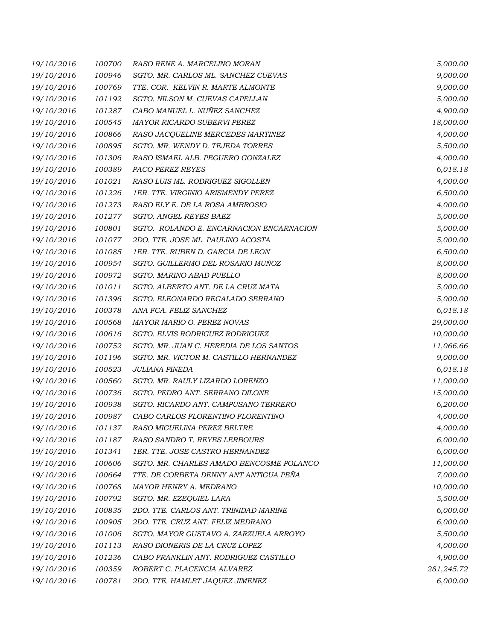| 19/10/2016 | 100700 | RASO RENE A. MARCELINO MORAN             | 5,000.00   |
|------------|--------|------------------------------------------|------------|
| 19/10/2016 | 100946 | SGTO. MR. CARLOS ML. SANCHEZ CUEVAS      | 9,000.00   |
| 19/10/2016 | 100769 | TTE. COR. KELVIN R. MARTE ALMONTE        | 9,000.00   |
| 19/10/2016 | 101192 | SGTO. NILSON M. CUEVAS CAPELLAN          | 5,000.00   |
| 19/10/2016 | 101287 | CABO MANUEL L. NUÑEZ SANCHEZ             | 4,900.00   |
| 19/10/2016 | 100545 | MAYOR RICARDO SUBERVI PEREZ              | 18,000.00  |
| 19/10/2016 | 100866 | RASO JACQUELINE MERCEDES MARTINEZ        | 4,000.00   |
| 19/10/2016 | 100895 | SGTO. MR. WENDY D. TEJEDA TORRES         | 5,500.00   |
| 19/10/2016 | 101306 | RASO ISMAEL ALB. PEGUERO GONZALEZ        | 4,000.00   |
| 19/10/2016 | 100389 | PACO PEREZ REYES                         | 6,018.18   |
| 19/10/2016 | 101021 | RASO LUIS ML. RODRIGUEZ SIGOLLEN         | 4,000.00   |
| 19/10/2016 | 101226 | 1ER. TTE. VIRGINIO ARISMENDY PEREZ       | 6,500.00   |
| 19/10/2016 | 101273 | RASO ELY E. DE LA ROSA AMBROSIO          | 4,000.00   |
| 19/10/2016 | 101277 | SGTO. ANGEL REYES BAEZ                   | 5,000.00   |
| 19/10/2016 | 100801 | SGTO. ROLANDO E. ENCARNACION ENCARNACION | 5,000.00   |
| 19/10/2016 | 101077 | 2DO. TTE. JOSE ML. PAULINO ACOSTA        | 5,000.00   |
| 19/10/2016 | 101085 | 1ER. TTE. RUBEN D. GARCIA DE LEON        | 6,500.00   |
| 19/10/2016 | 100954 | SGTO. GUILLERMO DEL ROSARIO MUÑOZ        | 8,000.00   |
| 19/10/2016 | 100972 | SGTO. MARINO ABAD PUELLO                 | 8,000.00   |
| 19/10/2016 | 101011 | SGTO. ALBERTO ANT. DE LA CRUZ MATA       | 5,000.00   |
| 19/10/2016 | 101396 | SGTO. ELEONARDO REGALADO SERRANO         | 5,000.00   |
| 19/10/2016 | 100378 | ANA FCA. FELIZ SANCHEZ                   | 6,018.18   |
| 19/10/2016 | 100568 | MAYOR MARIO O. PEREZ NOVAS               | 29,000.00  |
| 19/10/2016 | 100616 | SGTO. ELVIS RODRIGUEZ RODRIGUEZ          | 10,000.00  |
| 19/10/2016 | 100752 | SGTO. MR. JUAN C. HEREDIA DE LOS SANTOS  | 11,066.66  |
| 19/10/2016 | 101196 | SGTO. MR. VICTOR M. CASTILLO HERNANDEZ   | 9,000.00   |
| 19/10/2016 | 100523 | JULIANA PINEDA                           | 6,018.18   |
| 19/10/2016 | 100560 | SGTO. MR. RAULY LIZARDO LORENZO          | 11,000.00  |
| 19/10/2016 | 100736 | SGTO. PEDRO ANT. SERRANO DILONE          | 15,000.00  |
| 19/10/2016 | 100938 | SGTO. RICARDO ANT. CAMPUSANO TERRERO     | 6,200.00   |
| 19/10/2016 | 100987 | CABO CARLOS FLORENTINO FLORENTINO        | 4,000.00   |
| 19/10/2016 | 101137 | RASO MIGUELINA PEREZ BELTRE              | 4,000.00   |
| 19/10/2016 | 101187 | RASO SANDRO T. REYES LERBOURS            | 6,000.00   |
| 19/10/2016 | 101341 | 1ER. TTE. JOSE CASTRO HERNANDEZ          | 6,000.00   |
| 19/10/2016 | 100606 | SGTO. MR. CHARLES AMADO BENCOSME POLANCO | 11,000.00  |
| 19/10/2016 | 100664 | TTE. DE CORBETA DENNY ANT ANTIGUA PEÑA   | 7,000.00   |
| 19/10/2016 | 100768 | MAYOR HENRY A. MEDRANO                   | 10,000.00  |
| 19/10/2016 | 100792 | SGTO. MR. EZEQUIEL LARA                  | 5,500.00   |
| 19/10/2016 | 100835 | 2DO. TTE. CARLOS ANT. TRINIDAD MARINE    | 6,000.00   |
| 19/10/2016 | 100905 | 2DO. TTE. CRUZ ANT. FELIZ MEDRANO        | 6,000.00   |
| 19/10/2016 | 101006 | SGTO. MAYOR GUSTAVO A. ZARZUELA ARROYO   | 5,500.00   |
| 19/10/2016 | 101113 | RASO DIONERIS DE LA CRUZ LOPEZ           | 4,000.00   |
| 19/10/2016 | 101236 | CABO FRANKLIN ANT. RODRIGUEZ CASTILLO    | 4,900.00   |
| 19/10/2016 | 100359 | ROBERT C. PLACENCIA ALVAREZ              | 281,245.72 |
| 19/10/2016 | 100781 | 2DO. TTE. HAMLET JAQUEZ JIMENEZ          | 6,000.00   |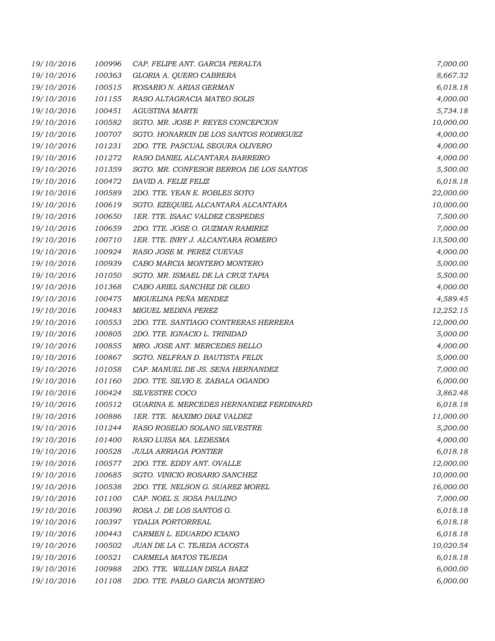| 19/10/2016 | 100996 | CAP. FELIPE ANT. GARCIA PERALTA         | 7,000.00  |
|------------|--------|-----------------------------------------|-----------|
| 19/10/2016 | 100363 | GLORIA A. QUERO CABRERA                 | 8,667.32  |
| 19/10/2016 | 100515 | ROSARIO N. ARIAS GERMAN                 | 6,018.18  |
| 19/10/2016 | 101155 | RASO ALTAGRACIA MATEO SOLIS             | 4,000.00  |
| 19/10/2016 | 100451 | <b>AGUSTINA MARTE</b>                   | 5,734.18  |
| 19/10/2016 | 100582 | SGTO. MR. JOSE P. REYES CONCEPCION      | 10,000.00 |
| 19/10/2016 | 100707 | SGTO. HONARKIN DE LOS SANTOS RODRIGUEZ  | 4,000.00  |
| 19/10/2016 | 101231 | 2DO. TTE. PASCUAL SEGURA OLIVERO        | 4,000.00  |
| 19/10/2016 | 101272 | RASO DANIEL ALCANTARA BARREIRO          | 4,000.00  |
| 19/10/2016 | 101359 | SGTO. MR. CONFESOR BERROA DE LOS SANTOS | 5,500.00  |
| 19/10/2016 | 100472 | DAVID A. FELIZ FELIZ                    | 6,018.18  |
| 19/10/2016 | 100589 | 2DO. TTE. YEAN E. ROBLES SOTO           | 22,000.00 |
| 19/10/2016 | 100619 | SGTO. EZEQUIEL ALCANTARA ALCANTARA      | 10,000.00 |
| 19/10/2016 | 100650 | 1ER. TTE. ISAAC VALDEZ CESPEDES         | 7,500.00  |
| 19/10/2016 | 100659 | 2DO. TTE. JOSE O. GUZMAN RAMIREZ        | 7,000.00  |
| 19/10/2016 | 100710 | 1ER. TTE. INRY J. ALCANTARA ROMERO      | 13,500.00 |
| 19/10/2016 | 100924 | RASO JOSE M. PEREZ CUEVAS               | 4,000.00  |
| 19/10/2016 | 100939 | CABO MARCIA MONTERO MONTERO             | 5,000.00  |
| 19/10/2016 | 101050 | SGTO. MR. ISMAEL DE LA CRUZ TAPIA       | 5,500.00  |
| 19/10/2016 | 101368 | CABO ARIEL SANCHEZ DE OLEO              | 4,000.00  |
| 19/10/2016 | 100475 | MIGUELINA PEÑA MENDEZ                   | 4,589.45  |
| 19/10/2016 | 100483 | <b>MIGUEL MEDINA PEREZ</b>              | 12,252.15 |
| 19/10/2016 | 100553 | 2DO. TTE. SANTIAGO CONTRERAS HERRERA    | 12,000.00 |
| 19/10/2016 | 100805 | 2DO. TTE. IGNACIO L. TRINIDAD           | 5,000.00  |
| 19/10/2016 | 100855 | MRO. JOSE ANT. MERCEDES BELLO           | 4,000.00  |
| 19/10/2016 | 100867 | SGTO. NELFRAN D. BAUTISTA FELIX         | 5,000.00  |
| 19/10/2016 | 101058 | CAP. MANUEL DE JS. SENA HERNANDEZ       | 7,000.00  |
| 19/10/2016 | 101160 | 2DO. TTE. SILVIO E. ZABALA OGANDO       | 6,000.00  |
| 19/10/2016 | 100424 | SILVESTRE COCO                          | 3,862.48  |
| 19/10/2016 | 100512 | GUARINA E. MERCEDES HERNANDEZ FERDINARD | 6,018.18  |
| 19/10/2016 | 100886 | 1ER. TTE. MAXIMO DIAZ VALDEZ            | 11,000.00 |
| 19/10/2016 | 101244 | RASO ROSELIO SOLANO SILVESTRE           | 5,200.00  |
| 19/10/2016 | 101400 | RASO LUISA MA. LEDESMA                  | 4,000.00  |
| 19/10/2016 | 100528 | <b>JULIA ARRIAGA PONTIER</b>            | 6,018.18  |
| 19/10/2016 | 100577 | 2DO. TTE. EDDY ANT. OVALLE              | 12,000.00 |
| 19/10/2016 | 100685 | SGTO. VINICIO ROSARIO SANCHEZ           | 10,000.00 |
| 19/10/2016 | 100538 | 2DO. TTE. NELSON G. SUAREZ MOREL        | 16,000.00 |
| 19/10/2016 | 101100 | CAP. NOEL S. SOSA PAULINO               | 7,000.00  |
| 19/10/2016 | 100390 | ROSA J. DE LOS SANTOS G.                | 6,018.18  |
| 19/10/2016 | 100397 | YDALIA PORTORREAL                       | 6,018.18  |
| 19/10/2016 | 100443 | CARMEN L. EDUARDO ICIANO                | 6,018.18  |
| 19/10/2016 | 100502 | JUAN DE LA C. TEJEDA ACOSTA             | 10,020.54 |
| 19/10/2016 | 100521 | CARMELA MATOS TEJEDA                    | 6,018.18  |
| 19/10/2016 | 100988 | 2DO. TTE. WILLIAN DISLA BAEZ            | 6,000.00  |
| 19/10/2016 | 101108 | 2DO. TTE. PABLO GARCIA MONTERO          | 6,000.00  |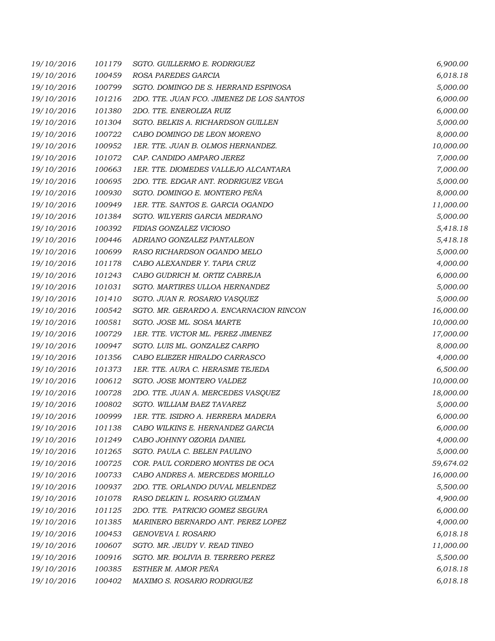| 19/10/2016 | 101179 | SGTO. GUILLERMO E. RODRIGUEZ              | 6,900.00  |
|------------|--------|-------------------------------------------|-----------|
| 19/10/2016 | 100459 | ROSA PAREDES GARCIA                       | 6,018.18  |
| 19/10/2016 | 100799 | SGTO. DOMINGO DE S. HERRAND ESPINOSA      | 5,000.00  |
| 19/10/2016 | 101216 | 2DO. TTE. JUAN FCO. JIMENEZ DE LOS SANTOS | 6,000.00  |
| 19/10/2016 | 101380 | 2DO. TTE. ENEROLIZA RUIZ                  | 6,000.00  |
| 19/10/2016 | 101304 | SGTO. BELKIS A. RICHARDSON GUILLEN        | 5,000.00  |
| 19/10/2016 | 100722 | CABO DOMINGO DE LEON MORENO               | 8,000.00  |
| 19/10/2016 | 100952 | 1ER. TTE. JUAN B. OLMOS HERNANDEZ.        | 10,000.00 |
| 19/10/2016 | 101072 | CAP. CANDIDO AMPARO JEREZ                 | 7,000.00  |
| 19/10/2016 | 100663 | 1ER. TTE. DIOMEDES VALLEJO ALCANTARA      | 7,000.00  |
| 19/10/2016 | 100695 | 2DO. TTE. EDGAR ANT. RODRIGUEZ VEGA       | 5,000.00  |
| 19/10/2016 | 100930 | SGTO. DOMINGO E. MONTERO PEÑA             | 8,000.00  |
| 19/10/2016 | 100949 | 1ER. TTE. SANTOS E. GARCIA OGANDO         | 11,000.00 |
| 19/10/2016 | 101384 | SGTO. WILYERIS GARCIA MEDRANO             | 5,000.00  |
| 19/10/2016 | 100392 | FIDIAS GONZALEZ VICIOSO                   | 5,418.18  |
| 19/10/2016 | 100446 | ADRIANO GONZALEZ PANTALEON                | 5,418.18  |
| 19/10/2016 | 100699 | RASO RICHARDSON OGANDO MELO               | 5,000.00  |
| 19/10/2016 | 101178 | CABO ALEXANDER Y. TAPIA CRUZ              | 4,000.00  |
| 19/10/2016 | 101243 | CABO GUDRICH M. ORTIZ CABREJA             | 6,000.00  |
| 19/10/2016 | 101031 | SGTO. MARTIRES ULLOA HERNANDEZ            | 5,000.00  |
| 19/10/2016 | 101410 | SGTO. JUAN R. ROSARIO VASQUEZ             | 5,000.00  |
| 19/10/2016 | 100542 | SGTO. MR. GERARDO A. ENCARNACION RINCON   | 16,000.00 |
| 19/10/2016 | 100581 | SGTO. JOSE ML. SOSA MARTE                 | 10,000.00 |
| 19/10/2016 | 100729 | 1ER. TTE. VICTOR ML. PEREZ JIMENEZ        | 17,000.00 |
| 19/10/2016 | 100947 | SGTO. LUIS ML. GONZALEZ CARPIO            | 8,000.00  |
| 19/10/2016 | 101356 | CABO ELIEZER HIRALDO CARRASCO             | 4,000.00  |
| 19/10/2016 | 101373 | 1ER. TTE. AURA C. HERASME TEJEDA          | 6,500.00  |
| 19/10/2016 | 100612 | SGTO. JOSE MONTERO VALDEZ                 | 10,000.00 |
| 19/10/2016 | 100728 | 2DO. TTE. JUAN A. MERCEDES VASQUEZ        | 18,000.00 |
| 19/10/2016 | 100802 | <b>SGTO. WILLIAM BAEZ TAVAREZ</b>         | 5,000.00  |
| 19/10/2016 | 100999 | 1ER. TTE. ISIDRO A. HERRERA MADERA        | 6,000.00  |
| 19/10/2016 | 101138 | CABO WILKINS E. HERNANDEZ GARCIA          | 6,000.00  |
| 19/10/2016 | 101249 | CABO JOHNNY OZORIA DANIEL                 | 4,000.00  |
| 19/10/2016 | 101265 | SGTO. PAULA C. BELEN PAULINO              | 5,000.00  |
| 19/10/2016 | 100725 | COR. PAUL CORDERO MONTES DE OCA           | 59,674.02 |
| 19/10/2016 | 100733 | CABO ANDRES A. MERCEDES MORILLO           | 16,000.00 |
| 19/10/2016 | 100937 | 2DO. TTE. ORLANDO DUVAL MELENDEZ          | 5,500.00  |
| 19/10/2016 | 101078 | RASO DELKIN L. ROSARIO GUZMAN             | 4,900.00  |
| 19/10/2016 | 101125 | 2DO. TTE. PATRICIO GOMEZ SEGURA           | 6,000.00  |
| 19/10/2016 | 101385 | MARINERO BERNARDO ANT. PEREZ LOPEZ        | 4,000.00  |
| 19/10/2016 | 100453 | GENOVEVA I. ROSARIO                       | 6,018.18  |
| 19/10/2016 | 100607 | SGTO. MR. JEUDY V. READ TINEO             | 11,000.00 |
| 19/10/2016 | 100916 | SGTO. MR. BOLIVIA B. TERRERO PEREZ        | 5,500.00  |
| 19/10/2016 | 100385 | ESTHER M. AMOR PEÑA                       | 6,018.18  |
| 19/10/2016 | 100402 | MAXIMO S. ROSARIO RODRIGUEZ               | 6,018.18  |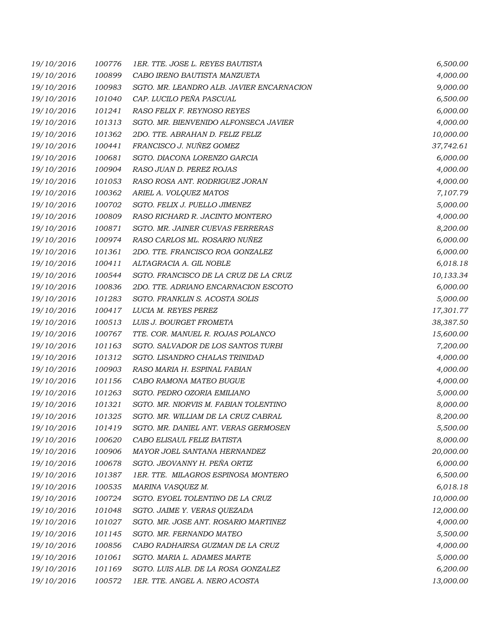| 19/10/2016 | 100776 | 1ER. TTE. JOSE L. REYES BAUTISTA          | 6,500.00  |
|------------|--------|-------------------------------------------|-----------|
| 19/10/2016 | 100899 | CABO IRENO BAUTISTA MANZUETA              | 4,000.00  |
| 19/10/2016 | 100983 | SGTO. MR. LEANDRO ALB. JAVIER ENCARNACION | 9,000.00  |
| 19/10/2016 | 101040 | CAP. LUCILO PEÑA PASCUAL                  | 6,500.00  |
| 19/10/2016 | 101241 | RASO FELIX F. REYNOSO REYES               | 6,000.00  |
| 19/10/2016 | 101313 | SGTO. MR. BIENVENIDO ALFONSECA JAVIER     | 4,000.00  |
| 19/10/2016 | 101362 | 2DO. TTE. ABRAHAN D. FELIZ FELIZ          | 10,000.00 |
| 19/10/2016 | 100441 | FRANCISCO J. NUÑEZ GOMEZ                  | 37,742.61 |
| 19/10/2016 | 100681 | SGTO. DIACONA LORENZO GARCIA              | 6,000.00  |
| 19/10/2016 | 100904 | RASO JUAN D. PEREZ ROJAS                  | 4,000.00  |
| 19/10/2016 | 101053 | RASO ROSA ANT. RODRIGUEZ JORAN            | 4,000.00  |
| 19/10/2016 | 100362 | ARIEL A. VOLQUEZ MATOS                    | 7,107.79  |
| 19/10/2016 | 100702 | SGTO. FELIX J. PUELLO JIMENEZ             | 5,000.00  |
| 19/10/2016 | 100809 | RASO RICHARD R. JACINTO MONTERO           | 4,000.00  |
| 19/10/2016 | 100871 | SGTO. MR. JAINER CUEVAS FERRERAS          | 8,200.00  |
| 19/10/2016 | 100974 | RASO CARLOS ML. ROSARIO NUÑEZ             | 6,000.00  |
| 19/10/2016 | 101361 | 2DO. TTE. FRANCISCO ROA GONZALEZ          | 6,000.00  |
| 19/10/2016 | 100411 | ALTAGRACIA A. GIL NOBLE                   | 6,018.18  |
| 19/10/2016 | 100544 | SGTO. FRANCISCO DE LA CRUZ DE LA CRUZ     | 10,133.34 |
| 19/10/2016 | 100836 | 2DO. TTE. ADRIANO ENCARNACION ESCOTO      | 6,000.00  |
| 19/10/2016 | 101283 | SGTO. FRANKLIN S. ACOSTA SOLIS            | 5,000.00  |
| 19/10/2016 | 100417 | LUCIA M. REYES PEREZ                      | 17,301.77 |
| 19/10/2016 | 100513 | LUIS J. BOURGET FROMETA                   | 38,387.50 |
| 19/10/2016 | 100767 | TTE. COR. MANUEL R. ROJAS POLANCO         | 15,600.00 |
| 19/10/2016 | 101163 | SGTO. SALVADOR DE LOS SANTOS TURBI        | 7,200.00  |
| 19/10/2016 | 101312 | SGTO. LISANDRO CHALAS TRINIDAD            | 4,000.00  |
| 19/10/2016 | 100903 | RASO MARIA H. ESPINAL FABIAN              | 4,000.00  |
| 19/10/2016 | 101156 | CABO RAMONA MATEO BUGUE                   | 4,000.00  |
| 19/10/2016 | 101263 | SGTO. PEDRO OZORIA EMILIANO               | 5,000.00  |
| 19/10/2016 | 101321 | SGTO. MR. NIORVIS M. FABIAN TOLENTINO     | 8,000.00  |
| 19/10/2016 | 101325 | SGTO. MR. WILLIAM DE LA CRUZ CABRAL       | 8,200.00  |
| 19/10/2016 | 101419 | SGTO. MR. DANIEL ANT. VERAS GERMOSEN      | 5,500.00  |
| 19/10/2016 | 100620 | CABO ELISAUL FELIZ BATISTA                | 8,000.00  |
| 19/10/2016 | 100906 | MAYOR JOEL SANTANA HERNANDEZ              | 20,000.00 |
| 19/10/2016 | 100678 | SGTO. JEOVANNY H. PEÑA ORTIZ              | 6,000.00  |
| 19/10/2016 | 101387 | 1ER. TTE. MILAGROS ESPINOSA MONTERO       | 6,500.00  |
| 19/10/2016 | 100535 | MARINA VASQUEZ M.                         | 6,018.18  |
| 19/10/2016 | 100724 | SGTO. EYOEL TOLENTINO DE LA CRUZ          | 10,000.00 |
| 19/10/2016 | 101048 | SGTO. JAIME Y. VERAS QUEZADA              | 12,000.00 |
| 19/10/2016 | 101027 | SGTO. MR. JOSE ANT. ROSARIO MARTINEZ      | 4,000.00  |
| 19/10/2016 | 101145 | SGTO. MR. FERNANDO MATEO                  | 5,500.00  |
| 19/10/2016 | 100856 | CABO RADHAIRSA GUZMAN DE LA CRUZ          | 4,000.00  |
| 19/10/2016 | 101061 | SGTO. MARIA L. ADAMES MARTE               | 5,000.00  |
| 19/10/2016 | 101169 | SGTO. LUIS ALB. DE LA ROSA GONZALEZ       | 6,200.00  |
| 19/10/2016 | 100572 | 1ER. TTE. ANGEL A. NERO ACOSTA            | 13,000.00 |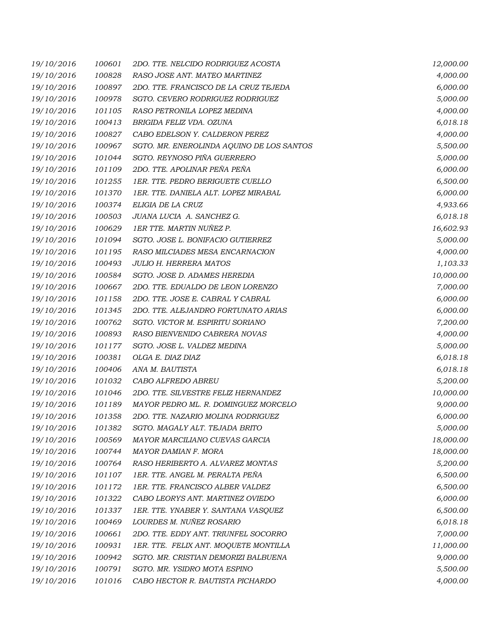| 19/10/2016 | 100601 | 2DO. TTE. NELCIDO RODRIGUEZ ACOSTA        | 12,000.00 |
|------------|--------|-------------------------------------------|-----------|
| 19/10/2016 | 100828 | RASO JOSE ANT. MATEO MARTINEZ             | 4,000.00  |
| 19/10/2016 | 100897 | 2DO. TTE. FRANCISCO DE LA CRUZ TEJEDA     | 6,000.00  |
| 19/10/2016 | 100978 | SGTO. CEVERO RODRIGUEZ RODRIGUEZ          | 5,000.00  |
| 19/10/2016 | 101105 | RASO PETRONILA LOPEZ MEDINA               | 4,000.00  |
| 19/10/2016 | 100413 | BRIGIDA FELIZ VDA. OZUNA                  | 6,018.18  |
| 19/10/2016 | 100827 | CABO EDELSON Y. CALDERON PEREZ            | 4,000.00  |
| 19/10/2016 | 100967 | SGTO. MR. ENEROLINDA AQUINO DE LOS SANTOS | 5,500.00  |
| 19/10/2016 | 101044 | SGTO. REYNOSO PIÑA GUERRERO               | 5,000.00  |
| 19/10/2016 | 101109 | 2DO. TTE. APOLINAR PEÑA PEÑA              | 6,000.00  |
| 19/10/2016 | 101255 | 1ER. TTE. PEDRO BERIGUETE CUELLO          | 6,500.00  |
| 19/10/2016 | 101370 | 1ER. TTE. DANIELA ALT. LOPEZ MIRABAL      | 6,000.00  |
| 19/10/2016 | 100374 | ELIGIA DE LA CRUZ                         | 4,933.66  |
| 19/10/2016 | 100503 | JUANA LUCIA A. SANCHEZ G.                 | 6,018.18  |
| 19/10/2016 | 100629 | 1ER TTE. MARTIN NUÑEZ P.                  | 16,602.93 |
| 19/10/2016 | 101094 | SGTO. JOSE L. BONIFACIO GUTIERREZ         | 5,000.00  |
| 19/10/2016 | 101195 | RASO MILCIADES MESA ENCARNACION           | 4,000.00  |
| 19/10/2016 | 100493 | <b>JULIO H. HERRERA MATOS</b>             | 1,103.33  |
| 19/10/2016 | 100584 | SGTO. JOSE D. ADAMES HEREDIA              | 10,000.00 |
| 19/10/2016 | 100667 | 2DO. TTE. EDUALDO DE LEON LORENZO         | 7,000.00  |
| 19/10/2016 | 101158 | 2DO. TTE. JOSE E. CABRAL Y CABRAL         | 6,000.00  |
| 19/10/2016 | 101345 | 2DO. TTE. ALEJANDRO FORTUNATO ARIAS       | 6,000.00  |
| 19/10/2016 | 100762 | SGTO. VICTOR M. ESPIRITU SORIANO          | 7,200.00  |
| 19/10/2016 | 100893 | RASO BIENVENIDO CABRERA NOVAS             | 4,000.00  |
| 19/10/2016 | 101177 | SGTO. JOSE L. VALDEZ MEDINA               | 5,000.00  |
| 19/10/2016 | 100381 | OLGA E. DIAZ DIAZ                         | 6,018.18  |
| 19/10/2016 | 100406 | ANA M. BAUTISTA                           | 6,018.18  |
| 19/10/2016 | 101032 | CABO ALFREDO ABREU                        | 5,200.00  |
| 19/10/2016 | 101046 | 2DO. TTE. SILVESTRE FELIZ HERNANDEZ       | 10,000.00 |
| 19/10/2016 | 101189 | MAYOR PEDRO ML. R. DOMINGUEZ MORCELO      | 9,000.00  |
| 19/10/2016 | 101358 | 2DO. TTE. NAZARIO MOLINA RODRIGUEZ        | 6,000.00  |
| 19/10/2016 | 101382 | SGTO. MAGALY ALT. TEJADA BRITO            | 5,000.00  |
| 19/10/2016 | 100569 | MAYOR MARCILIANO CUEVAS GARCIA            | 18,000.00 |
| 19/10/2016 | 100744 | MAYOR DAMIAN F. MORA                      | 18,000.00 |
| 19/10/2016 | 100764 | RASO HERIBERTO A. ALVAREZ MONTAS          | 5,200.00  |
| 19/10/2016 | 101107 | 1ER. TTE. ANGEL M. PERALTA PEÑA           | 6,500.00  |
| 19/10/2016 | 101172 | 1ER. TTE. FRANCISCO ALBER VALDEZ          | 6,500.00  |
| 19/10/2016 | 101322 | CABO LEORYS ANT. MARTINEZ OVIEDO          | 6,000.00  |
| 19/10/2016 | 101337 | 1ER. TTE. YNABER Y. SANTANA VASQUEZ       | 6,500.00  |
| 19/10/2016 | 100469 | LOURDES M. NUÑEZ ROSARIO                  | 6,018.18  |
| 19/10/2016 | 100661 | 2DO. TTE. EDDY ANT. TRIUNFEL SOCORRO      | 7,000.00  |
| 19/10/2016 | 100931 | 1ER. TTE. FELIX ANT. MOQUETE MONTILLA     | 11,000.00 |
| 19/10/2016 | 100942 | SGTO. MR. CRISTIAN DEMORIZI BALBUENA      | 9,000.00  |
| 19/10/2016 | 100791 | SGTO. MR. YSIDRO MOTA ESPINO              | 5,500.00  |
| 19/10/2016 | 101016 | CABO HECTOR R. BAUTISTA PICHARDO          | 4,000.00  |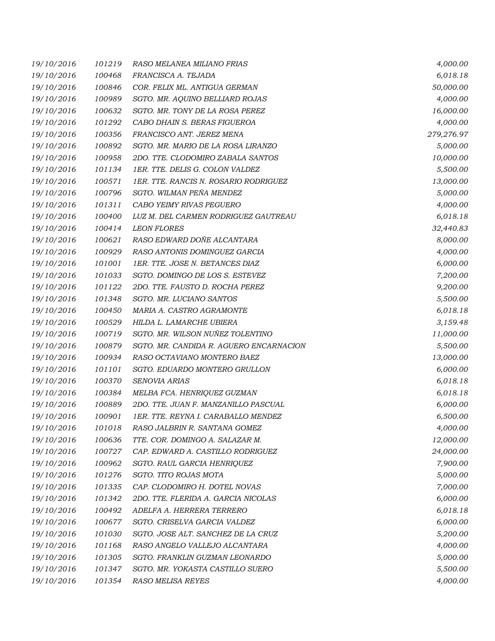| 19/10/2016 | 101219 | RASO MELANEA MILIANO FRIAS              | 4,000.00   |
|------------|--------|-----------------------------------------|------------|
| 19/10/2016 | 100468 | FRANCISCA A. TEJADA                     | 6,018.18   |
| 19/10/2016 | 100846 | COR. FELIX ML. ANTIGUA GERMAN           | 50,000.00  |
| 19/10/2016 | 100989 | SGTO. MR. AQUINO BELLIARD ROJAS         | 4,000.00   |
| 19/10/2016 | 100632 | SGTO. MR. TONY DE LA ROSA PEREZ         | 16,000.00  |
| 19/10/2016 | 101292 | CABO DHAIN S. BERAS FIGUEROA            | 4,000.00   |
| 19/10/2016 | 100356 | FRANCISCO ANT. JEREZ MENA               | 279,276.97 |
| 19/10/2016 | 100892 | SGTO. MR. MARIO DE LA ROSA LIRANZO      | 5,000.00   |
| 19/10/2016 | 100958 | 2DO. TTE. CLODOMIRO ZABALA SANTOS       | 10,000.00  |
| 19/10/2016 | 101134 | 1ER. TTE. DELIS G. COLON VALDEZ         | 5,500.00   |
| 19/10/2016 | 100571 | 1ER. TTE. RANCIS N. ROSARIO RODRIGUEZ   | 13,000.00  |
| 19/10/2016 | 100796 | SGTO. WILMAN PEÑA MENDEZ                | 5,000.00   |
| 19/10/2016 | 101311 | CABO YEIMY RIVAS PEGUERO                | 4,000.00   |
| 19/10/2016 | 100400 | LUZ M. DEL CARMEN RODRIGUEZ GAUTREAU    | 6,018.18   |
| 19/10/2016 | 100414 | <b>LEON FLORES</b>                      | 32,440.83  |
| 19/10/2016 | 100621 | RASO EDWARD DOÑE ALCANTARA              | 8,000.00   |
| 19/10/2016 | 100929 | RASO ANTONIS DOMINGUEZ GARCIA           | 4,000.00   |
| 19/10/2016 | 101001 | 1ER. TTE. JOSE N. BETANCES DIAZ         | 6,000.00   |
| 19/10/2016 | 101033 | SGTO. DOMINGO DE LOS S. ESTEVEZ         | 7,200.00   |
| 19/10/2016 | 101122 | 2DO. TTE. FAUSTO D. ROCHA PEREZ         | 9,200.00   |
| 19/10/2016 | 101348 | SGTO. MR. LUCIANO SANTOS                | 5,500.00   |
| 19/10/2016 | 100450 | MARIA A. CASTRO AGRAMONTE               | 6,018.18   |
| 19/10/2016 | 100529 | HILDA L. LAMARCHE UBIERA                | 3,159.48   |
| 19/10/2016 | 100719 | SGTO. MR. WILSON NUÑEZ TOLENTINO        | 11,000.00  |
| 19/10/2016 | 100879 | SGTO. MR. CANDIDA R. AGUERO ENCARNACION | 5,500.00   |
| 19/10/2016 | 100934 | RASO OCTAVIANO MONTERO BAEZ             | 13,000.00  |
| 19/10/2016 | 101101 | SGTO. EDUARDO MONTERO GRULLON           | 6,000.00   |
| 19/10/2016 | 100370 | SENOVIA ARIAS                           | 6,018.18   |
| 19/10/2016 | 100384 | MELBA FCA. HENRIQUEZ GUZMAN             | 6,018.18   |
| 19/10/2016 | 100889 | 2DO. TTE. JUAN F. MANZANILLO PASCUAL    | 6,000.00   |
| 19/10/2016 | 100901 | 1ER. TTE. REYNA I. CARABALLO MENDEZ     | 6,500.00   |
| 19/10/2016 | 101018 | RASO JALBRIN R. SANTANA GOMEZ           | 4,000.00   |
| 19/10/2016 | 100636 | TTE. COR. DOMINGO A. SALAZAR M.         | 12,000.00  |
| 19/10/2016 | 100727 | CAP. EDWARD A. CASTILLO RODRIGUEZ       | 24,000.00  |
| 19/10/2016 | 100962 | SGTO. RAUL GARCIA HENRIQUEZ             | 7,900.00   |
| 19/10/2016 | 101276 | SGTO. TITO ROJAS MOTA                   | 5,000.00   |
| 19/10/2016 | 101335 | CAP. CLODOMIRO H. DOTEL NOVAS           | 7,000.00   |
| 19/10/2016 | 101342 | 2DO. TTE. FLERIDA A. GARCIA NICOLAS     | 6,000.00   |
| 19/10/2016 | 100492 | ADELFA A. HERRERA TERRERO               | 6,018.18   |
| 19/10/2016 | 100677 | SGTO. CRISELVA GARCIA VALDEZ            | 6,000.00   |
| 19/10/2016 | 101030 | SGTO. JOSE ALT. SANCHEZ DE LA CRUZ      | 5,200.00   |
| 19/10/2016 | 101168 | RASO ANGELO VALLEJO ALCANTARA           | 4,000.00   |
| 19/10/2016 | 101305 | SGTO. FRANKLIN GUZMAN LEONARDO          | 5,000.00   |
| 19/10/2016 | 101347 | SGTO. MR. YOKASTA CASTILLO SUERO        | 5,500.00   |
| 19/10/2016 | 101354 | RASO MELISA REYES                       | 4,000.00   |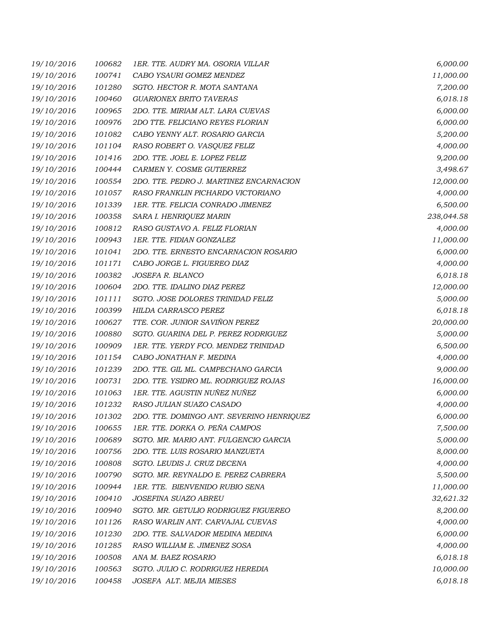| 19/10/2016 | 100682 | 1ER. TTE. AUDRY MA. OSORIA VILLAR         | 6,000.00   |
|------------|--------|-------------------------------------------|------------|
| 19/10/2016 | 100741 | CABO YSAURI GOMEZ MENDEZ                  | 11,000.00  |
| 19/10/2016 | 101280 | SGTO. HECTOR R. MOTA SANTANA              | 7,200.00   |
| 19/10/2016 | 100460 | <b>GUARIONEX BRITO TAVERAS</b>            | 6,018.18   |
| 19/10/2016 | 100965 | 2DO. TTE. MIRIAM ALT. LARA CUEVAS         | 6,000.00   |
| 19/10/2016 | 100976 | 2DO TTE. FELICIANO REYES FLORIAN          | 6,000.00   |
| 19/10/2016 | 101082 | CABO YENNY ALT. ROSARIO GARCIA            | 5,200.00   |
| 19/10/2016 | 101104 | RASO ROBERT O. VASQUEZ FELIZ              | 4,000.00   |
| 19/10/2016 | 101416 | 2DO. TTE. JOEL E. LOPEZ FELIZ             | 9,200.00   |
| 19/10/2016 | 100444 | CARMEN Y. COSME GUTIERREZ                 | 3,498.67   |
| 19/10/2016 | 100554 | 2DO. TTE. PEDRO J. MARTINEZ ENCARNACION   | 12,000.00  |
| 19/10/2016 | 101057 | RASO FRANKLIN PICHARDO VICTORIANO         | 4,000.00   |
| 19/10/2016 | 101339 | 1ER. TTE. FELICIA CONRADO JIMENEZ         | 6,500.00   |
| 19/10/2016 | 100358 | SARA I. HENRIQUEZ MARIN                   | 238,044.58 |
| 19/10/2016 | 100812 | RASO GUSTAVO A. FELIZ FLORIAN             | 4,000.00   |
| 19/10/2016 | 100943 | 1ER. TTE. FIDIAN GONZALEZ                 | 11,000.00  |
| 19/10/2016 | 101041 | 2DO. TTE. ERNESTO ENCARNACION ROSARIO     | 6,000.00   |
| 19/10/2016 | 101171 | CABO JORGE L. FIGUEREO DIAZ               | 4,000.00   |
| 19/10/2016 | 100382 | JOSEFA R. BLANCO                          | 6,018.18   |
| 19/10/2016 | 100604 | 2DO. TTE. IDALINO DIAZ PEREZ              | 12,000.00  |
| 19/10/2016 | 101111 | SGTO. JOSE DOLORES TRINIDAD FELIZ         | 5,000.00   |
| 19/10/2016 | 100399 | HILDA CARRASCO PEREZ                      | 6,018.18   |
| 19/10/2016 | 100627 | TTE. COR. JUNIOR SAVIÑON PEREZ            | 20,000.00  |
| 19/10/2016 | 100880 | SGTO. GUARINA DEL P. PEREZ RODRIGUEZ      | 5,000.00   |
| 19/10/2016 | 100909 | 1ER. TTE. YERDY FCO. MENDEZ TRINIDAD      | 6,500.00   |
| 19/10/2016 | 101154 | CABO JONATHAN F. MEDINA                   | 4,000.00   |
| 19/10/2016 | 101239 | 2DO. TTE. GIL ML. CAMPECHANO GARCIA       | 9,000.00   |
| 19/10/2016 | 100731 | 2DO. TTE. YSIDRO ML. RODRIGUEZ ROJAS      | 16,000.00  |
| 19/10/2016 | 101063 | 1ER. TTE. AGUSTIN NUÑEZ NUÑEZ             | 6,000.00   |
| 19/10/2016 | 101232 | RASO JULIAN SUAZO CASADO                  | 4,000.00   |
| 19/10/2016 | 101302 | 2DO. TTE. DOMINGO ANT. SEVERINO HENRIQUEZ | 6,000.00   |
| 19/10/2016 | 100655 | 1ER. TTE. DORKA O. PEÑA CAMPOS            | 7,500.00   |
| 19/10/2016 | 100689 | SGTO. MR. MARIO ANT. FULGENCIO GARCIA     | 5,000.00   |
| 19/10/2016 | 100756 | 2DO. TTE. LUIS ROSARIO MANZUETA           | 8,000.00   |
| 19/10/2016 | 100808 | SGTO. LEUDIS J. CRUZ DECENA               | 4,000.00   |
| 19/10/2016 | 100790 | SGTO. MR. REYNALDO E. PEREZ CABRERA       | 5,500.00   |
| 19/10/2016 | 100944 | 1ER. TTE. BIENVENIDO RUBIO SENA           | 11,000.00  |
| 19/10/2016 | 100410 | JOSEFINA SUAZO ABREU                      | 32,621.32  |
| 19/10/2016 | 100940 | SGTO. MR. GETULIO RODRIGUEZ FIGUEREO      | 8,200.00   |
| 19/10/2016 | 101126 | RASO WARLIN ANT. CARVAJAL CUEVAS          | 4,000.00   |
| 19/10/2016 | 101230 | 2DO. TTE. SALVADOR MEDINA MEDINA          | 6,000.00   |
| 19/10/2016 | 101285 | RASO WILLIAM E. JIMENEZ SOSA              | 4,000.00   |
| 19/10/2016 | 100508 | ANA M. BAEZ ROSARIO                       | 6,018.18   |
| 19/10/2016 | 100563 | SGTO. JULIO C. RODRIGUEZ HEREDIA          | 10,000.00  |
| 19/10/2016 | 100458 | JOSEFA ALT. MEJIA MIESES                  | 6,018.18   |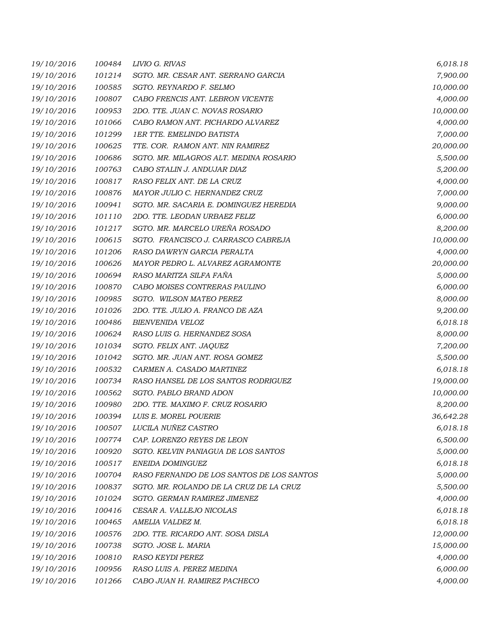| 19/10/2016 | 100484 | LIVIO G. RIVAS                            | 6,018.18  |
|------------|--------|-------------------------------------------|-----------|
| 19/10/2016 | 101214 | SGTO. MR. CESAR ANT. SERRANO GARCIA       | 7,900.00  |
| 19/10/2016 | 100585 | SGTO. REYNARDO F. SELMO                   | 10,000.00 |
| 19/10/2016 | 100807 | CABO FRENCIS ANT. LEBRON VICENTE          | 4,000.00  |
| 19/10/2016 | 100953 | 2DO. TTE. JUAN C. NOVAS ROSARIO           | 10,000.00 |
| 19/10/2016 | 101066 | CABO RAMON ANT. PICHARDO ALVAREZ          | 4,000.00  |
| 19/10/2016 | 101299 | <b>1ER TTE, EMELINDO BATISTA</b>          | 7,000.00  |
| 19/10/2016 | 100625 | TTE. COR. RAMON ANT. NIN RAMIREZ          | 20,000.00 |
| 19/10/2016 | 100686 | SGTO. MR. MILAGROS ALT. MEDINA ROSARIO    | 5,500.00  |
| 19/10/2016 | 100763 | CABO STALIN J. ANDUJAR DIAZ               | 5,200.00  |
| 19/10/2016 | 100817 | RASO FELIX ANT. DE LA CRUZ                | 4,000.00  |
| 19/10/2016 | 100876 | MAYOR JULIO C. HERNANDEZ CRUZ             | 7,000.00  |
| 19/10/2016 | 100941 | SGTO. MR. SACARIA E. DOMINGUEZ HEREDIA    | 9,000.00  |
| 19/10/2016 | 101110 | 2DO. TTE. LEODAN URBAEZ FELIZ             | 6,000.00  |
| 19/10/2016 | 101217 | SGTO. MR. MARCELO UREÑA ROSADO            | 8,200.00  |
| 19/10/2016 | 100615 | SGTO. FRANCISCO J. CARRASCO CABREJA       | 10,000.00 |
| 19/10/2016 | 101206 | RASO DAWRYN GARCIA PERALTA                | 4,000.00  |
| 19/10/2016 | 100626 | MAYOR PEDRO L. ALVAREZ AGRAMONTE          | 20,000.00 |
| 19/10/2016 | 100694 | RASO MARITZA SILFA FAÑA                   | 5,000.00  |
| 19/10/2016 | 100870 | CABO MOISES CONTRERAS PAULINO             | 6,000.00  |
| 19/10/2016 | 100985 | SGTO. WILSON MATEO PEREZ                  | 8,000.00  |
| 19/10/2016 | 101026 | 2DO. TTE. JULIO A. FRANCO DE AZA          | 9,200.00  |
| 19/10/2016 | 100486 | <b>BIENVENIDA VELOZ</b>                   | 6,018.18  |
| 19/10/2016 | 100624 | RASO LUIS G. HERNANDEZ SOSA               | 8,000.00  |
| 19/10/2016 | 101034 | SGTO. FELIX ANT. JAQUEZ                   | 7,200.00  |
| 19/10/2016 | 101042 | SGTO. MR. JUAN ANT. ROSA GOMEZ            | 5,500.00  |
| 19/10/2016 | 100532 | CARMEN A. CASADO MARTINEZ                 | 6,018.18  |
| 19/10/2016 | 100734 | RASO HANSEL DE LOS SANTOS RODRIGUEZ       | 19,000.00 |
| 19/10/2016 | 100562 | SGTO. PABLO BRAND ADON                    | 10,000.00 |
| 19/10/2016 | 100980 | 2DO. TTE. MAXIMO F. CRUZ ROSARIO          | 8,200.00  |
| 19/10/2016 | 100394 | LUIS E. MOREL POUERIE                     | 36,642.28 |
| 19/10/2016 | 100507 | LUCILA NUÑEZ CASTRO                       | 6,018.18  |
| 19/10/2016 | 100774 | CAP. LORENZO REYES DE LEON                | 6,500.00  |
| 19/10/2016 | 100920 | SGTO. KELVIN PANIAGUA DE LOS SANTOS       | 5,000.00  |
| 19/10/2016 | 100517 | ENEIDA DOMINGUEZ                          | 6,018.18  |
| 19/10/2016 | 100704 | RASO FERNANDO DE LOS SANTOS DE LOS SANTOS | 5,000.00  |
| 19/10/2016 | 100837 | SGTO. MR. ROLANDO DE LA CRUZ DE LA CRUZ   | 5,500.00  |
| 19/10/2016 | 101024 | SGTO. GERMAN RAMIREZ JIMENEZ              | 4,000.00  |
| 19/10/2016 | 100416 | CESAR A. VALLEJO NICOLAS                  | 6,018.18  |
| 19/10/2016 | 100465 | AMELIA VALDEZ M.                          | 6,018.18  |
| 19/10/2016 | 100576 | 2DO. TTE. RICARDO ANT. SOSA DISLA         | 12,000.00 |
| 19/10/2016 | 100738 | SGTO. JOSE L. MARIA                       | 15,000.00 |
| 19/10/2016 | 100810 | <b>RASO KEYDI PEREZ</b>                   | 4,000.00  |
| 19/10/2016 | 100956 | RASO LUIS A. PEREZ MEDINA                 | 6,000.00  |
| 19/10/2016 | 101266 | CABO JUAN H. RAMIREZ PACHECO              | 4,000.00  |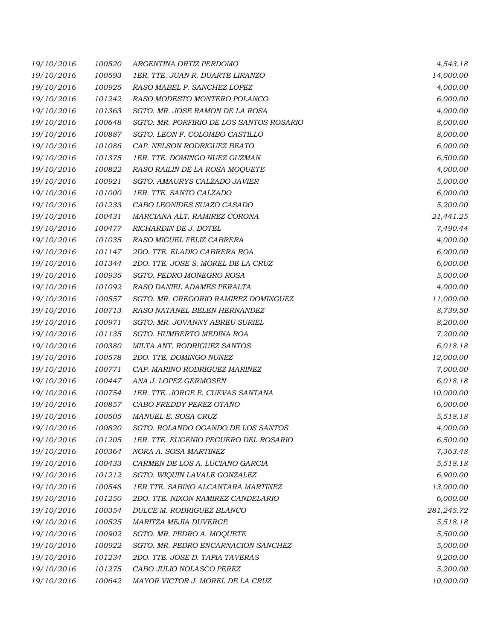| 19/10/2016 | 100520 | ARGENTINA ORTIZ PERDOMO                   | 4,543.18   |
|------------|--------|-------------------------------------------|------------|
| 19/10/2016 | 100593 | 1ER. TTE. JUAN R. DUARTE LIRANZO          | 14,000.00  |
| 19/10/2016 | 100925 | RASO MABEL P. SANCHEZ LOPEZ               | 4,000.00   |
| 19/10/2016 | 101242 | RASO MODESTO MONTERO POLANCO              | 6,000.00   |
| 19/10/2016 | 101363 | SGTO. MR. JOSE RAMON DE LA ROSA           | 4,000.00   |
| 19/10/2016 | 100648 | SGTO. MR. PORFIRIO DE LOS SANTOS ROSARIO  | 8,000.00   |
| 19/10/2016 | 100887 | SGTO. LEON F. COLOMBO CASTILLO            | 8,000.00   |
| 19/10/2016 | 101086 | CAP. NELSON RODRIGUEZ BEATO               | 6,000.00   |
| 19/10/2016 | 101375 | 1ER. TTE. DOMINGO NUEZ GUZMAN             | 6,500.00   |
| 19/10/2016 | 100822 | RASO RAILIN DE LA ROSA MOQUETE            | 4,000.00   |
| 19/10/2016 | 100921 | SGTO. AMAURYS CALZADO JAVIER              | 5,000.00   |
| 19/10/2016 | 101000 | 1ER. TTE. SANTO CALZADO                   | 6,000.00   |
| 19/10/2016 | 101233 | CABO LEONIDES SUAZO CASADO                | 5,200.00   |
| 19/10/2016 | 100431 | MARCIANA ALT. RAMIREZ CORONA              | 21,441.25  |
| 19/10/2016 | 100477 | RICHARDIN DE J. DOTEL                     | 7,490.44   |
| 19/10/2016 | 101035 | RASO MIGUEL FELIZ CABRERA                 | 4,000.00   |
| 19/10/2016 | 101147 | 2DO. TTE. ELADIO CABRERA ROA              | 6,000.00   |
| 19/10/2016 | 101344 | 2DO. TTE. JOSE S. MOREL DE LA CRUZ        | 6,000.00   |
| 19/10/2016 | 100935 | SGTO. PEDRO MONEGRO ROSA                  | 5,000.00   |
| 19/10/2016 | 101092 | RASO DANIEL ADAMES PERALTA                | 4,000.00   |
| 19/10/2016 | 100557 | SGTO. MR. GREGORIO RAMIREZ DOMINGUEZ      | 11,000.00  |
| 19/10/2016 | 100713 | RASO NATANEL BELEN HERNANDEZ              | 8,739.50   |
| 19/10/2016 | 100971 | SGTO. MR. JOVANNY ABREU SURIEL            | 8,200.00   |
| 19/10/2016 | 101135 | SGTO. HUMBERTO MEDINA ROA                 | 7,200.00   |
| 19/10/2016 | 100380 | MILTA ANT. RODRIGUEZ SANTOS               | 6,018.18   |
| 19/10/2016 | 100578 | 2DO. TTE. DOMINGO NUÑEZ                   | 12,000.00  |
| 19/10/2016 | 100771 | CAP. MARINO RODRIGUEZ MARIÑEZ             | 7,000.00   |
| 19/10/2016 | 100447 | ANA J. LOPEZ GERMOSEN                     | 6,018.18   |
| 19/10/2016 | 100754 | 1ER. TTE. JORGE E. CUEVAS SANTANA         | 10,000.00  |
| 19/10/2016 | 100857 | CABO FREDDY PEREZ OTAÑO                   | 6,000.00   |
| 19/10/2016 | 100505 | MANUEL E. SOSA CRUZ                       | 5,518.18   |
| 19/10/2016 | 100820 | SGTO. ROLANDO OGANDO DE LOS SANTOS        | 4,000.00   |
| 19/10/2016 | 101205 | 1ER. TTE. EUGENIO PEGUERO DEL ROSARIO     | 6,500.00   |
| 19/10/2016 | 100364 | NORA A. SOSA MARTINEZ                     | 7,363.48   |
| 19/10/2016 | 100433 | CARMEN DE LOS A. LUCIANO GARCIA           | 5,518.18   |
| 19/10/2016 | 101212 | SGTO. WIQUIN LAVALE GONZALEZ              | 6,900.00   |
| 19/10/2016 | 100548 | <b>1ER.TTE. SABINO ALCANTARA MARTINEZ</b> | 13,000.00  |
| 19/10/2016 | 101250 | 2DO. TTE. NIXON RAMIREZ CANDELARIO        | 6,000.00   |
| 19/10/2016 | 100354 | DULCE M. RODRIGUEZ BLANCO                 | 281,245.72 |
| 19/10/2016 | 100525 | MARITZA MEJIA DUVERGE                     | 5,518.18   |
| 19/10/2016 | 100902 | SGTO. MR. PEDRO A. MOQUETE                | 5,500.00   |
| 19/10/2016 | 100922 | SGTO. MR. PEDRO ENCARNACION SANCHEZ       | 5,000.00   |
| 19/10/2016 | 101234 | 2DO. TTE. JOSE D. TAPIA TAVERAS           | 9,200.00   |
| 19/10/2016 | 101275 | CABO JULIO NOLASCO PEREZ                  | 5,200.00   |
| 19/10/2016 | 100642 | MAYOR VICTOR J. MOREL DE LA CRUZ          | 10,000.00  |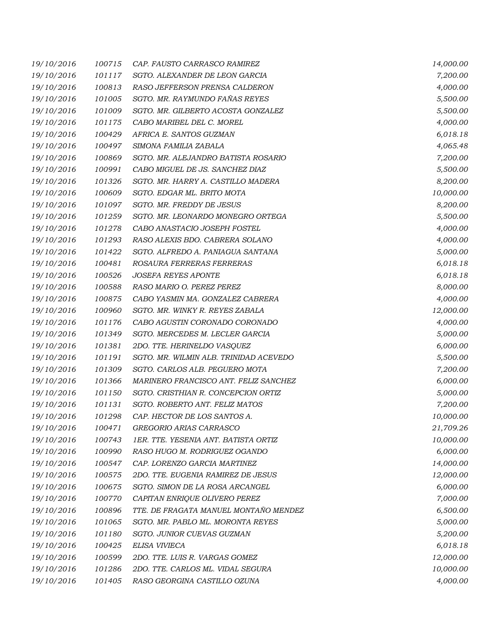| 19/10/2016 | 100715 | CAP. FAUSTO CARRASCO RAMIREZ           | 14,000.00 |
|------------|--------|----------------------------------------|-----------|
| 19/10/2016 | 101117 | SGTO. ALEXANDER DE LEON GARCIA         | 7,200.00  |
| 19/10/2016 | 100813 | RASO JEFFERSON PRENSA CALDERON         | 4,000.00  |
| 19/10/2016 | 101005 | SGTO. MR. RAYMUNDO FAÑAS REYES         | 5,500.00  |
| 19/10/2016 | 101009 | SGTO. MR. GILBERTO ACOSTA GONZALEZ     | 5,500.00  |
| 19/10/2016 | 101175 | CABO MARIBEL DEL C. MOREL              | 4,000.00  |
| 19/10/2016 | 100429 | AFRICA E. SANTOS GUZMAN                | 6,018.18  |
| 19/10/2016 | 100497 | SIMONA FAMILIA ZABALA                  | 4,065.48  |
| 19/10/2016 | 100869 | SGTO. MR. ALEJANDRO BATISTA ROSARIO    | 7,200.00  |
| 19/10/2016 | 100991 | CABO MIGUEL DE JS. SANCHEZ DIAZ        | 5,500.00  |
| 19/10/2016 | 101326 | SGTO. MR. HARRY A. CASTILLO MADERA     | 8,200.00  |
| 19/10/2016 | 100609 | SGTO. EDGAR ML. BRITO MOTA             | 10,000.00 |
| 19/10/2016 | 101097 | SGTO. MR. FREDDY DE JESUS              | 8,200.00  |
| 19/10/2016 | 101259 | SGTO. MR. LEONARDO MONEGRO ORTEGA      | 5,500.00  |
| 19/10/2016 | 101278 | CABO ANASTACIO JOSEPH FOSTEL           | 4,000.00  |
| 19/10/2016 | 101293 | RASO ALEXIS BDO. CABRERA SOLANO        | 4,000.00  |
| 19/10/2016 | 101422 | SGTO. ALFREDO A. PANIAGUA SANTANA      | 5,000.00  |
| 19/10/2016 | 100481 | ROSAURA FERRERAS FERRERAS              | 6,018.18  |
| 19/10/2016 | 100526 | <b>JOSEFA REYES APONTE</b>             | 6,018.18  |
| 19/10/2016 | 100588 | RASO MARIO O. PEREZ PEREZ              | 8,000.00  |
| 19/10/2016 | 100875 | CABO YASMIN MA. GONZALEZ CABRERA       | 4,000.00  |
| 19/10/2016 | 100960 | SGTO. MR. WINKY R. REYES ZABALA        | 12,000.00 |
| 19/10/2016 | 101176 | CABO AGUSTIN CORONADO CORONADO         | 4,000.00  |
| 19/10/2016 | 101349 | SGTO. MERCEDES M. LECLER GARCIA        | 5,000.00  |
| 19/10/2016 | 101381 | 2DO. TTE. HERINELDO VASQUEZ            | 6,000.00  |
| 19/10/2016 | 101191 | SGTO. MR. WILMIN ALB. TRINIDAD ACEVEDO | 5,500.00  |
| 19/10/2016 | 101309 | SGTO. CARLOS ALB. PEGUERO MOTA         | 7,200.00  |
| 19/10/2016 | 101366 | MARINERO FRANCISCO ANT. FELIZ SANCHEZ  | 6,000.00  |
| 19/10/2016 | 101150 | SGTO. CRISTHIAN R. CONCEPCION ORTIZ    | 5,000.00  |
| 19/10/2016 | 101131 | SGTO. ROBERTO ANT. FELIZ MATOS         | 7,200.00  |
| 19/10/2016 | 101298 | CAP. HECTOR DE LOS SANTOS A.           | 10,000.00 |
| 19/10/2016 | 100471 | GREGORIO ARIAS CARRASCO                | 21,709.26 |
| 19/10/2016 | 100743 | 1ER. TTE. YESENIA ANT. BATISTA ORTIZ   | 10,000.00 |
| 19/10/2016 | 100990 | RASO HUGO M. RODRIGUEZ OGANDO          | 6,000.00  |
| 19/10/2016 | 100547 | CAP. LORENZO GARCIA MARTINEZ           | 14,000.00 |
| 19/10/2016 | 100575 | 2DO. TTE. EUGENIA RAMIREZ DE JESUS     | 12,000.00 |
| 19/10/2016 | 100675 | SGTO. SIMON DE LA ROSA ARCANGEL        | 6,000.00  |
| 19/10/2016 | 100770 | CAPITAN ENRIQUE OLIVERO PEREZ          | 7,000.00  |
| 19/10/2016 | 100896 | TTE. DE FRAGATA MANUEL MONTANO MENDEZ  | 6,500.00  |
| 19/10/2016 | 101065 | SGTO. MR. PABLO ML. MORONTA REYES      | 5,000.00  |
| 19/10/2016 | 101180 | SGTO. JUNIOR CUEVAS GUZMAN             | 5,200.00  |
| 19/10/2016 | 100425 | ELISA VIVIECA                          | 6,018.18  |
| 19/10/2016 | 100599 | 2DO. TTE. LUIS R. VARGAS GOMEZ         | 12,000.00 |
| 19/10/2016 | 101286 | 2DO. TTE. CARLOS ML. VIDAL SEGURA      | 10,000.00 |
| 19/10/2016 | 101405 | RASO GEORGINA CASTILLO OZUNA           | 4,000.00  |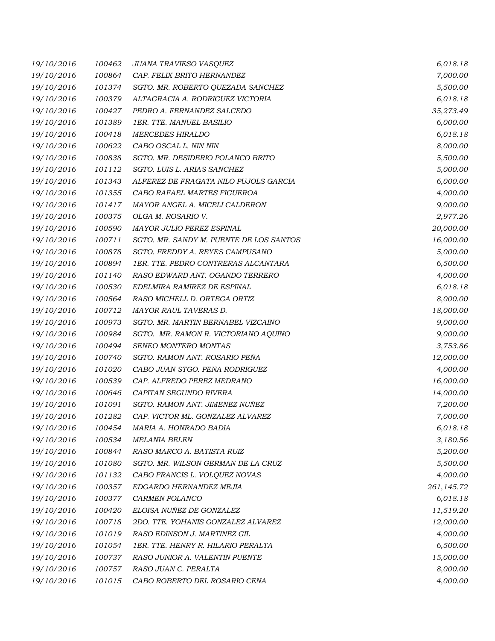| 19/10/2016 | 100462 | JUANA TRAVIESO VASQUEZ                  | 6,018.18   |
|------------|--------|-----------------------------------------|------------|
| 19/10/2016 | 100864 | CAP. FELIX BRITO HERNANDEZ              | 7,000.00   |
| 19/10/2016 | 101374 | SGTO. MR. ROBERTO QUEZADA SANCHEZ       | 5,500.00   |
| 19/10/2016 | 100379 | ALTAGRACIA A. RODRIGUEZ VICTORIA        | 6,018.18   |
| 19/10/2016 | 100427 | PEDRO A. FERNANDEZ SALCEDO              | 35,273.49  |
| 19/10/2016 | 101389 | 1ER. TTE. MANUEL BASILIO                | 6,000.00   |
| 19/10/2016 | 100418 | <b>MERCEDES HIRALDO</b>                 | 6,018.18   |
| 19/10/2016 | 100622 | CABO OSCAL L. NIN NIN                   | 8,000.00   |
| 19/10/2016 | 100838 | SGTO. MR. DESIDERIO POLANCO BRITO       | 5,500.00   |
| 19/10/2016 | 101112 | SGTO. LUIS L. ARIAS SANCHEZ             | 5,000.00   |
| 19/10/2016 | 101343 | ALFEREZ DE FRAGATA NILO PUJOLS GARCIA   | 6,000.00   |
| 19/10/2016 | 101355 | CABO RAFAEL MARTES FIGUEROA             | 4,000.00   |
| 19/10/2016 | 101417 | MAYOR ANGEL A. MICELI CALDERON          | 9,000.00   |
| 19/10/2016 | 100375 | OLGA M. ROSARIO V.                      | 2,977.26   |
| 19/10/2016 | 100590 | <b>MAYOR JULIO PEREZ ESPINAL</b>        | 20,000.00  |
| 19/10/2016 | 100711 | SGTO. MR. SANDY M. PUENTE DE LOS SANTOS | 16,000.00  |
| 19/10/2016 | 100878 | SGTO. FREDDY A. REYES CAMPUSANO         | 5,000.00   |
| 19/10/2016 | 100894 | 1ER. TTE. PEDRO CONTRERAS ALCANTARA     | 6,500.00   |
| 19/10/2016 | 101140 | RASO EDWARD ANT. OGANDO TERRERO         | 4,000.00   |
| 19/10/2016 | 100530 | EDELMIRA RAMIREZ DE ESPINAL             | 6,018.18   |
| 19/10/2016 | 100564 | RASO MICHELL D. ORTEGA ORTIZ            | 8,000.00   |
| 19/10/2016 | 100712 | MAYOR RAUL TAVERAS D.                   | 18,000.00  |
| 19/10/2016 | 100973 | SGTO. MR. MARTIN BERNABEL VIZCAINO      | 9,000.00   |
| 19/10/2016 | 100984 | SGTO. MR. RAMON R. VICTORIANO AQUINO    | 9,000.00   |
| 19/10/2016 | 100494 | SENEO MONTERO MONTAS                    | 3,753.86   |
| 19/10/2016 | 100740 | SGTO. RAMON ANT. ROSARIO PEÑA           | 12,000.00  |
| 19/10/2016 | 101020 | CABO JUAN STGO. PEÑA RODRIGUEZ          | 4,000.00   |
| 19/10/2016 | 100539 | CAP. ALFREDO PEREZ MEDRANO              | 16,000.00  |
| 19/10/2016 | 100646 | CAPITAN SEGUNDO RIVERA                  | 14,000.00  |
| 19/10/2016 | 101091 | SGTO. RAMON ANT. JIMENEZ NUÑEZ          | 7,200.00   |
| 19/10/2016 | 101282 | CAP. VICTOR ML. GONZALEZ ALVAREZ        | 7,000.00   |
| 19/10/2016 | 100454 | MARIA A. HONRADO BADIA                  | 6,018.18   |
| 19/10/2016 | 100534 | <b>MELANIA BELEN</b>                    | 3,180.56   |
| 19/10/2016 | 100844 | RASO MARCO A. BATISTA RUIZ              | 5,200.00   |
| 19/10/2016 | 101080 | SGTO. MR. WILSON GERMAN DE LA CRUZ      | 5,500.00   |
| 19/10/2016 | 101132 | CABO FRANCIS L. VOLQUEZ NOVAS           | 4,000.00   |
| 19/10/2016 | 100357 | EDGARDO HERNANDEZ MEJIA                 | 261,145.72 |
| 19/10/2016 | 100377 | CARMEN POLANCO                          | 6,018.18   |
| 19/10/2016 | 100420 | ELOISA NUÑEZ DE GONZALEZ                | 11,519.20  |
| 19/10/2016 | 100718 | 2DO. TTE. YOHANIS GONZALEZ ALVAREZ      | 12,000.00  |
| 19/10/2016 | 101019 | RASO EDINSON J. MARTINEZ GIL            | 4,000.00   |
| 19/10/2016 | 101054 | 1ER. TTE. HENRY R. HILARIO PERALTA      | 6,500.00   |
| 19/10/2016 | 100737 | RASO JUNIOR A. VALENTIN PUENTE          | 15,000.00  |
| 19/10/2016 | 100757 | RASO JUAN C. PERALTA                    | 8,000.00   |
| 19/10/2016 | 101015 | CABO ROBERTO DEL ROSARIO CENA           | 4,000.00   |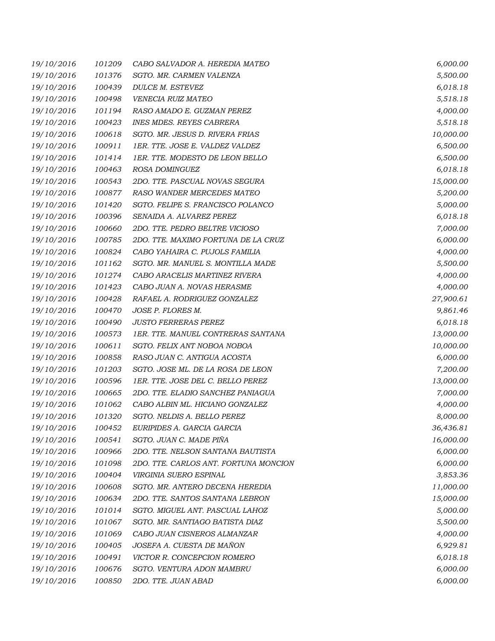| 19/10/2016 | 101209 | CABO SALVADOR A. HEREDIA MATEO        | 6,000.00  |
|------------|--------|---------------------------------------|-----------|
| 19/10/2016 | 101376 | SGTO. MR. CARMEN VALENZA              | 5,500.00  |
| 19/10/2016 | 100439 | <b>DULCE M. ESTEVEZ</b>               | 6,018.18  |
| 19/10/2016 | 100498 | <b>VENECIA RUIZ MATEO</b>             | 5,518.18  |
| 19/10/2016 | 101194 | RASO AMADO E. GUZMAN PEREZ            | 4,000.00  |
| 19/10/2016 | 100423 | <b>INES MDES. REYES CABRERA</b>       | 5,518.18  |
| 19/10/2016 | 100618 | SGTO. MR. JESUS D. RIVERA FRIAS       | 10,000.00 |
| 19/10/2016 | 100911 | 1ER. TTE. JOSE E. VALDEZ VALDEZ       | 6,500.00  |
| 19/10/2016 | 101414 | 1ER. TTE. MODESTO DE LEON BELLO       | 6,500.00  |
| 19/10/2016 | 100463 | ROSA DOMINGUEZ                        | 6,018.18  |
| 19/10/2016 | 100543 | 2DO. TTE. PASCUAL NOVAS SEGURA        | 15,000.00 |
| 19/10/2016 | 100877 | RASO WANDER MERCEDES MATEO            | 5,200.00  |
| 19/10/2016 | 101420 | SGTO. FELIPE S. FRANCISCO POLANCO     | 5,000.00  |
| 19/10/2016 | 100396 | SENAIDA A. ALVAREZ PEREZ              | 6,018.18  |
| 19/10/2016 | 100660 | 2DO. TTE. PEDRO BELTRE VICIOSO        | 7,000.00  |
| 19/10/2016 | 100785 | 2DO. TTE. MAXIMO FORTUNA DE LA CRUZ   | 6,000.00  |
| 19/10/2016 | 100824 | CABO YAHAIRA C. PUJOLS FAMILIA        | 4,000.00  |
| 19/10/2016 | 101162 | SGTO. MR. MANUEL S. MONTILLA MADE     | 5,500.00  |
| 19/10/2016 | 101274 | CABO ARACELIS MARTINEZ RIVERA         | 4,000.00  |
| 19/10/2016 | 101423 | CABO JUAN A. NOVAS HERASME            | 4,000.00  |
| 19/10/2016 | 100428 | RAFAEL A. RODRIGUEZ GONZALEZ          | 27,900.61 |
| 19/10/2016 | 100470 | JOSE P. FLORES M.                     | 9,861.46  |
| 19/10/2016 | 100490 | <b>JUSTO FERRERAS PEREZ</b>           | 6,018.18  |
| 19/10/2016 | 100573 | 1ER. TTE. MANUEL CONTRERAS SANTANA    | 13,000.00 |
| 19/10/2016 | 100611 | SGTO. FELIX ANT NOBOA NOBOA           | 10,000.00 |
| 19/10/2016 | 100858 | RASO JUAN C. ANTIGUA ACOSTA           | 6,000.00  |
| 19/10/2016 | 101203 | SGTO. JOSE ML. DE LA ROSA DE LEON     | 7,200.00  |
| 19/10/2016 | 100596 | 1ER. TTE. JOSE DEL C. BELLO PEREZ     | 13,000.00 |
| 19/10/2016 | 100665 | 2DO. TTE. ELADIO SANCHEZ PANIAGUA     | 7,000.00  |
| 19/10/2016 | 101062 | CABO ALBIN ML. HICIANO GONZALEZ       | 4,000.00  |
| 19/10/2016 | 101320 | SGTO. NELDIS A. BELLO PEREZ           | 8,000.00  |
| 19/10/2016 | 100452 | EURIPIDES A. GARCIA GARCIA            | 36,436.81 |
| 19/10/2016 | 100541 | SGTO. JUAN C. MADE PIÑA               | 16,000.00 |
| 19/10/2016 | 100966 | 2DO. TTE. NELSON SANTANA BAUTISTA     | 6,000.00  |
| 19/10/2016 | 101098 | 2DO. TTE. CARLOS ANT. FORTUNA MONCION | 6,000.00  |
| 19/10/2016 | 100404 | VIRGINIA SUERO ESPINAL                | 3,853.36  |
| 19/10/2016 | 100608 | SGTO. MR. ANTERO DECENA HEREDIA       | 11,000.00 |
| 19/10/2016 | 100634 | 2DO. TTE. SANTOS SANTANA LEBRON       | 15,000.00 |
| 19/10/2016 | 101014 | SGTO. MIGUEL ANT. PASCUAL LAHOZ       | 5,000.00  |
| 19/10/2016 | 101067 | SGTO. MR. SANTIAGO BATISTA DIAZ       | 5,500.00  |
| 19/10/2016 | 101069 | CABO JUAN CISNEROS ALMANZAR           | 4,000.00  |
| 19/10/2016 | 100405 | JOSEFA A. CUESTA DE MAÑON             | 6,929.81  |
| 19/10/2016 | 100491 | VICTOR R. CONCEPCION ROMERO           | 6,018.18  |
| 19/10/2016 | 100676 | SGTO. VENTURA ADON MAMBRU             | 6,000.00  |
| 19/10/2016 | 100850 | 2DO. TTE. JUAN ABAD                   | 6,000.00  |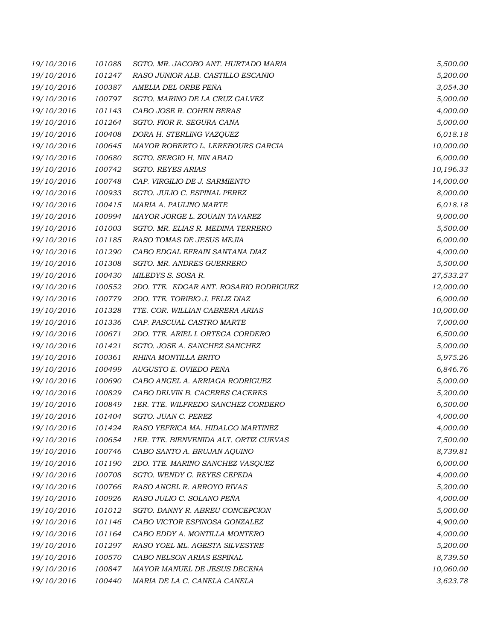| 19/10/2016 | 101088 | SGTO. MR. JACOBO ANT. HURTADO MARIA    | 5,500.00  |
|------------|--------|----------------------------------------|-----------|
| 19/10/2016 | 101247 | RASO JUNIOR ALB. CASTILLO ESCANIO      | 5,200.00  |
| 19/10/2016 | 100387 | AMELIA DEL ORBE PEÑA                   | 3,054.30  |
| 19/10/2016 | 100797 | SGTO. MARINO DE LA CRUZ GALVEZ         | 5,000.00  |
| 19/10/2016 | 101143 | CABO JOSE R. COHEN BERAS               | 4,000.00  |
| 19/10/2016 | 101264 | SGTO. FIOR R. SEGURA CANA              | 5,000.00  |
| 19/10/2016 | 100408 | DORA H. STERLING VAZQUEZ               | 6,018.18  |
| 19/10/2016 | 100645 | MAYOR ROBERTO L. LEREBOURS GARCIA      | 10,000.00 |
| 19/10/2016 | 100680 | SGTO. SERGIO H. NIN ABAD               | 6,000.00  |
| 19/10/2016 | 100742 | <b>SGTO. REYES ARIAS</b>               | 10,196.33 |
| 19/10/2016 | 100748 | CAP. VIRGILIO DE J. SARMIENTO          | 14,000.00 |
| 19/10/2016 | 100933 | SGTO. JULIO C. ESPINAL PEREZ           | 8,000.00  |
| 19/10/2016 | 100415 | MARIA A. PAULINO MARTE                 | 6,018.18  |
| 19/10/2016 | 100994 | MAYOR JORGE L. ZOUAIN TAVAREZ          | 9,000.00  |
| 19/10/2016 | 101003 | SGTO. MR. ELIAS R. MEDINA TERRERO      | 5,500.00  |
| 19/10/2016 | 101185 | RASO TOMAS DE JESUS MEJIA              | 6,000.00  |
| 19/10/2016 | 101290 | CABO EDGAL EFRAIN SANTANA DIAZ         | 4,000.00  |
| 19/10/2016 | 101308 | SGTO. MR. ANDRES GUERRERO              | 5,500.00  |
| 19/10/2016 | 100430 | MILEDYS S. SOSA R.                     | 27,533.27 |
| 19/10/2016 | 100552 | 2DO. TTE. EDGAR ANT. ROSARIO RODRIGUEZ | 12,000.00 |
| 19/10/2016 | 100779 | 2DO. TTE. TORIBIO J. FELIZ DIAZ        | 6,000.00  |
| 19/10/2016 | 101328 | TTE. COR. WILLIAN CABRERA ARIAS        | 10,000.00 |
| 19/10/2016 | 101336 | CAP. PASCUAL CASTRO MARTE              | 7,000.00  |
| 19/10/2016 | 100671 | 2DO. TTE. ARIEL I. ORTEGA CORDERO      | 6,500.00  |
| 19/10/2016 | 101421 | SGTO. JOSE A. SANCHEZ SANCHEZ          | 5,000.00  |
| 19/10/2016 | 100361 | RHINA MONTILLA BRITO                   | 5,975.26  |
| 19/10/2016 | 100499 | AUGUSTO E. OVIEDO PEÑA                 | 6,846.76  |
| 19/10/2016 | 100690 | CABO ANGEL A. ARRIAGA RODRIGUEZ        | 5,000.00  |
| 19/10/2016 | 100829 | CABO DELVIN B. CACERES CACERES         | 5,200.00  |
| 19/10/2016 | 100849 | 1ER. TTE. WILFREDO SANCHEZ CORDERO     | 6,500.00  |
| 19/10/2016 | 101404 | SGTO. JUAN C. PEREZ                    | 4,000.00  |
| 19/10/2016 | 101424 | RASO YEFRICA MA. HIDALGO MARTINEZ      | 4,000.00  |
| 19/10/2016 | 100654 | 1ER. TTE. BIENVENIDA ALT. ORTIZ CUEVAS | 7,500.00  |
| 19/10/2016 | 100746 | CABO SANTO A. BRUJAN AOUINO            | 8,739.81  |
| 19/10/2016 | 101190 | 2DO. TTE. MARINO SANCHEZ VASQUEZ       | 6,000.00  |
| 19/10/2016 | 100708 | SGTO. WENDY G. REYES CEPEDA            | 4,000.00  |
| 19/10/2016 | 100766 | RASO ANGEL R. ARROYO RIVAS             | 5,200.00  |
| 19/10/2016 | 100926 | RASO JULIO C. SOLANO PEÑA              | 4,000.00  |
| 19/10/2016 | 101012 | SGTO. DANNY R. ABREU CONCEPCION        | 5,000.00  |
| 19/10/2016 | 101146 | CABO VICTOR ESPINOSA GONZALEZ          | 4,900.00  |
| 19/10/2016 | 101164 | CABO EDDY A. MONTILLA MONTERO          | 4,000.00  |
| 19/10/2016 | 101297 | RASO YOEL ML. AGESTA SILVESTRE         | 5,200.00  |
| 19/10/2016 | 100570 | CABO NELSON ARIAS ESPINAL              | 8,739.50  |
| 19/10/2016 | 100847 | MAYOR MANUEL DE JESUS DECENA           | 10,060.00 |
| 19/10/2016 | 100440 | MARIA DE LA C. CANELA CANELA           | 3,623.78  |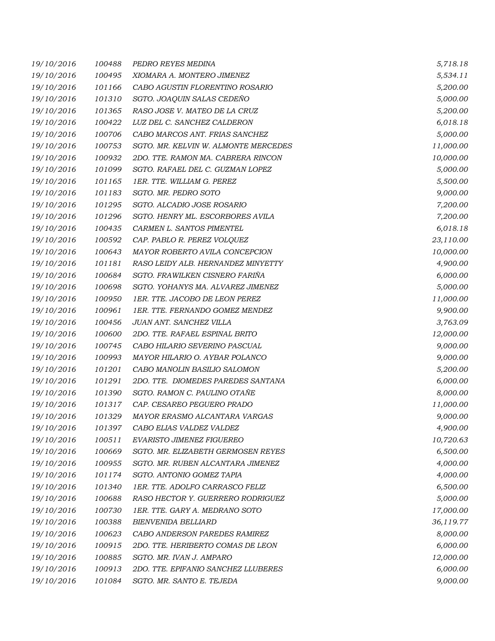| 19/10/2016 | 100488 | PEDRO REYES MEDINA                   | 5,718.18  |
|------------|--------|--------------------------------------|-----------|
| 19/10/2016 | 100495 | XIOMARA A. MONTERO JIMENEZ           | 5,534.11  |
| 19/10/2016 | 101166 | CABO AGUSTIN FLORENTINO ROSARIO      | 5,200.00  |
| 19/10/2016 | 101310 | SGTO. JOAQUIN SALAS CEDEÑO           | 5,000.00  |
| 19/10/2016 | 101365 | RASO JOSE V. MATEO DE LA CRUZ        | 5,200.00  |
| 19/10/2016 | 100422 | LUZ DEL C. SANCHEZ CALDERON          | 6,018.18  |
| 19/10/2016 | 100706 | CABO MARCOS ANT. FRIAS SANCHEZ       | 5,000.00  |
| 19/10/2016 | 100753 | SGTO. MR. KELVIN W. ALMONTE MERCEDES | 11,000.00 |
| 19/10/2016 | 100932 | 2DO. TTE. RAMON MA. CABRERA RINCON   | 10,000.00 |
| 19/10/2016 | 101099 | SGTO. RAFAEL DEL C. GUZMAN LOPEZ     | 5,000.00  |
| 19/10/2016 | 101165 | 1ER. TTE. WILLIAM G. PEREZ           | 5,500.00  |
| 19/10/2016 | 101183 | SGTO. MR. PEDRO SOTO                 | 9,000.00  |
| 19/10/2016 | 101295 | SGTO. ALCADIO JOSE ROSARIO           | 7,200.00  |
| 19/10/2016 | 101296 | SGTO. HENRY ML. ESCORBORES AVILA     | 7,200.00  |
| 19/10/2016 | 100435 | CARMEN L. SANTOS PIMENTEL            | 6,018.18  |
| 19/10/2016 | 100592 | CAP. PABLO R. PEREZ VOLQUEZ          | 23,110.00 |
| 19/10/2016 | 100643 | MAYOR ROBERTO AVILA CONCEPCION       | 10,000.00 |
| 19/10/2016 | 101181 | RASO LEIDY ALB. HERNANDEZ MINYETTY   | 4,900.00  |
| 19/10/2016 | 100684 | SGTO. FRAWILKEN CISNERO FARIÑA       | 6,000.00  |
| 19/10/2016 | 100698 | SGTO. YOHANYS MA. ALVAREZ JIMENEZ    | 5,000.00  |
| 19/10/2016 | 100950 | 1ER. TTE. JACOBO DE LEON PEREZ       | 11,000.00 |
| 19/10/2016 | 100961 | 1ER. TTE. FERNANDO GOMEZ MENDEZ      | 9,900.00  |
| 19/10/2016 | 100456 | JUAN ANT. SANCHEZ VILLA              | 3,763.09  |
| 19/10/2016 | 100600 | 2DO. TTE. RAFAEL ESPINAL BRITO       | 12,000.00 |
| 19/10/2016 | 100745 | CABO HILARIO SEVERINO PASCUAL        | 9,000.00  |
| 19/10/2016 | 100993 | MAYOR HILARIO O. AYBAR POLANCO       | 9,000.00  |
| 19/10/2016 | 101201 | CABO MANOLIN BASILIO SALOMON         | 5,200.00  |
| 19/10/2016 | 101291 | 2DO. TTE. DIOMEDES PAREDES SANTANA   | 6,000.00  |
| 19/10/2016 | 101390 | SGTO. RAMON C. PAULINO OTAÑE         | 8,000.00  |
| 19/10/2016 | 101317 | CAP. CESAREO PEGUERO PRADO           | 11,000.00 |
| 19/10/2016 | 101329 | MAYOR ERASMO ALCANTARA VARGAS        | 9,000.00  |
| 19/10/2016 | 101397 | CABO ELIAS VALDEZ VALDEZ             | 4,900.00  |
| 19/10/2016 | 100511 | <b>EVARISTO JIMENEZ FIGUEREO</b>     | 10,720.63 |
| 19/10/2016 | 100669 | SGTO. MR. ELIZABETH GERMOSEN REYES   | 6,500.00  |
| 19/10/2016 | 100955 | SGTO. MR. RUBEN ALCANTARA JIMENEZ    | 4,000.00  |
| 19/10/2016 | 101174 | SGTO. ANTONIO GOMEZ TAPIA            | 4,000.00  |
| 19/10/2016 | 101340 | 1ER. TTE. ADOLFO CARRASCO FELIZ      | 6,500.00  |
| 19/10/2016 | 100688 | RASO HECTOR Y. GUERRERO RODRIGUEZ    | 5,000.00  |
| 19/10/2016 | 100730 | 1ER. TTE. GARY A. MEDRANO SOTO       | 17,000.00 |
| 19/10/2016 | 100388 | <b>BIENVENIDA BELLIARD</b>           | 36,119.77 |
| 19/10/2016 | 100623 | CABO ANDERSON PAREDES RAMIREZ        | 8,000.00  |
| 19/10/2016 | 100915 | 2DO. TTE. HERIBERTO COMAS DE LEON    | 6,000.00  |
| 19/10/2016 | 100885 | SGTO. MR. IVAN J. AMPARO             | 12,000.00 |
| 19/10/2016 | 100913 | 2DO. TTE. EPIFANIO SANCHEZ LLUBERES  | 6,000.00  |
| 19/10/2016 | 101084 | SGTO. MR. SANTO E. TEJEDA            | 9,000.00  |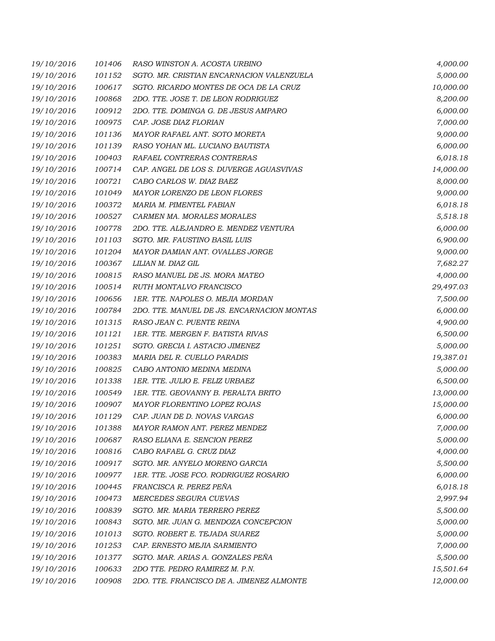| 19/10/2016 | 101406 | RASO WINSTON A. ACOSTA URBINO              | 4,000.00  |
|------------|--------|--------------------------------------------|-----------|
| 19/10/2016 | 101152 | SGTO. MR. CRISTIAN ENCARNACION VALENZUELA  | 5,000.00  |
| 19/10/2016 | 100617 | SGTO. RICARDO MONTES DE OCA DE LA CRUZ     | 10,000.00 |
| 19/10/2016 | 100868 | 2DO. TTE. JOSE T. DE LEON RODRIGUEZ        | 8,200.00  |
| 19/10/2016 | 100912 | 2DO. TTE. DOMINGA G. DE JESUS AMPARO       | 6,000.00  |
| 19/10/2016 | 100975 | CAP. JOSE DIAZ FLORIAN                     | 7,000.00  |
| 19/10/2016 | 101136 | MAYOR RAFAEL ANT. SOTO MORETA              | 9,000.00  |
| 19/10/2016 | 101139 | RASO YOHAN ML. LUCIANO BAUTISTA            | 6,000.00  |
| 19/10/2016 | 100403 | RAFAEL CONTRERAS CONTRERAS                 | 6,018.18  |
| 19/10/2016 | 100714 | CAP. ANGEL DE LOS S. DUVERGE AGUASVIVAS    | 14,000.00 |
| 19/10/2016 | 100721 | CABO CARLOS W. DIAZ BAEZ                   | 8,000.00  |
| 19/10/2016 | 101049 | MAYOR LORENZO DE LEON FLORES               | 9,000.00  |
| 19/10/2016 | 100372 | MARIA M. PIMENTEL FABIAN                   | 6,018.18  |
| 19/10/2016 | 100527 | CARMEN MA. MORALES MORALES                 | 5,518.18  |
| 19/10/2016 | 100778 | 2DO. TTE. ALEJANDRO E. MENDEZ VENTURA      | 6,000.00  |
| 19/10/2016 | 101103 | SGTO. MR. FAUSTINO BASIL LUIS              | 6,900.00  |
| 19/10/2016 | 101204 | MAYOR DAMIAN ANT. OVALLES JORGE            | 9,000.00  |
| 19/10/2016 | 100367 | LILIAN M. DIAZ GIL                         | 7,682.27  |
| 19/10/2016 | 100815 | RASO MANUEL DE JS. MORA MATEO              | 4,000.00  |
| 19/10/2016 | 100514 | RUTH MONTALVO FRANCISCO                    | 29,497.03 |
| 19/10/2016 | 100656 | 1ER. TTE. NAPOLES O. MEJIA MORDAN          | 7,500.00  |
| 19/10/2016 | 100784 | 2DO. TTE. MANUEL DE JS. ENCARNACION MONTAS | 6,000.00  |
| 19/10/2016 | 101315 | RASO JEAN C. PUENTE REINA                  | 4,900.00  |
| 19/10/2016 | 101121 | 1ER. TTE. MERGEN F. BATISTA RIVAS          | 6,500.00  |
| 19/10/2016 | 101251 | SGTO. GRECIA I. ASTACIO JIMENEZ            | 5,000.00  |
| 19/10/2016 | 100383 | MARIA DEL R. CUELLO PARADIS                | 19,387.01 |
| 19/10/2016 | 100825 | CABO ANTONIO MEDINA MEDINA                 | 5,000.00  |
| 19/10/2016 | 101338 | 1ER. TTE. JULIO E. FELIZ URBAEZ            | 6,500.00  |
| 19/10/2016 | 100549 | 1ER. TTE. GEOVANNY B. PERALTA BRITO        | 13,000.00 |
| 19/10/2016 | 100907 | MAYOR FLORENTINO LOPEZ ROJAS               | 15,000.00 |
| 19/10/2016 | 101129 | CAP. JUAN DE D. NOVAS VARGAS               | 6,000.00  |
| 19/10/2016 | 101388 | <i>MAYOR RAMON ANT. PEREZ MENDEZ</i>       | 7,000.00  |
| 19/10/2016 | 100687 | RASO ELIANA E. SENCION PEREZ               | 5,000.00  |
| 19/10/2016 | 100816 | CABO RAFAEL G. CRUZ DIAZ                   | 4,000.00  |
| 19/10/2016 | 100917 | SGTO. MR. ANYELO MORENO GARCIA             | 5,500.00  |
| 19/10/2016 | 100977 | 1ER. TTE. JOSE FCO. RODRIGUEZ ROSARIO      | 6,000.00  |
| 19/10/2016 | 100445 | FRANCISCA R. PEREZ PEÑA                    | 6,018.18  |
| 19/10/2016 | 100473 | MERCEDES SEGURA CUEVAS                     | 2,997.94  |
| 19/10/2016 | 100839 | SGTO. MR. MARIA TERRERO PEREZ              | 5,500.00  |
| 19/10/2016 | 100843 | SGTO. MR. JUAN G. MENDOZA CONCEPCION       | 5,000.00  |
| 19/10/2016 | 101013 | SGTO. ROBERT E. TEJADA SUAREZ              | 5,000.00  |
| 19/10/2016 | 101253 | CAP. ERNESTO MEJIA SARMIENTO               | 7,000.00  |
| 19/10/2016 | 101377 | SGTO. MAR. ARIAS A. GONZALES PEÑA          | 5,500.00  |
| 19/10/2016 | 100633 | 2DO TTE. PEDRO RAMIREZ M. P.N.             | 15,501.64 |
| 19/10/2016 | 100908 | 2DO. TTE. FRANCISCO DE A. JIMENEZ ALMONTE  | 12,000.00 |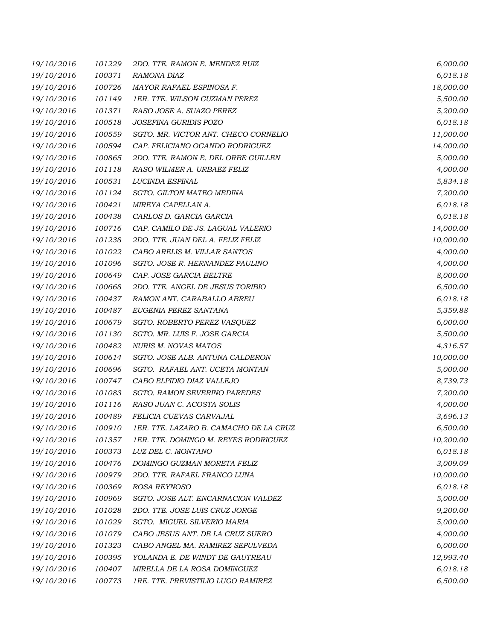| 19/10/2016 | 101229 | 2DO. TTE. RAMON E. MENDEZ RUIZ         | 6,000.00  |
|------------|--------|----------------------------------------|-----------|
| 19/10/2016 | 100371 | RAMONA DIAZ                            | 6,018.18  |
| 19/10/2016 | 100726 | MAYOR RAFAEL ESPINOSA F.               | 18,000.00 |
| 19/10/2016 | 101149 | 1ER. TTE. WILSON GUZMAN PEREZ          | 5,500.00  |
| 19/10/2016 | 101371 | RASO JOSE A. SUAZO PEREZ               | 5,200.00  |
| 19/10/2016 | 100518 | JOSEFINA GURIDIS POZO                  | 6,018.18  |
| 19/10/2016 | 100559 | SGTO. MR. VICTOR ANT. CHECO CORNELIO   | 11,000.00 |
| 19/10/2016 | 100594 | CAP. FELICIANO OGANDO RODRIGUEZ        | 14,000.00 |
| 19/10/2016 | 100865 | 2DO. TTE. RAMON E. DEL ORBE GUILLEN    | 5,000.00  |
| 19/10/2016 | 101118 | RASO WILMER A. URBAEZ FELIZ            | 4,000.00  |
| 19/10/2016 | 100531 | LUCINDA ESPINAL                        | 5,834.18  |
| 19/10/2016 | 101124 | SGTO. GILTON MATEO MEDINA              | 7,200.00  |
| 19/10/2016 | 100421 | MIREYA CAPELLAN A.                     | 6,018.18  |
| 19/10/2016 | 100438 | CARLOS D. GARCIA GARCIA                | 6,018.18  |
| 19/10/2016 | 100716 | CAP. CAMILO DE JS. LAGUAL VALERIO      | 14,000.00 |
| 19/10/2016 | 101238 | 2DO. TTE. JUAN DEL A. FELIZ FELIZ      | 10,000.00 |
| 19/10/2016 | 101022 | CABO ARELIS M. VILLAR SANTOS           | 4,000.00  |
| 19/10/2016 | 101096 | SGTO. JOSE R. HERNANDEZ PAULINO        | 4,000.00  |
| 19/10/2016 | 100649 | CAP. JOSE GARCIA BELTRE                | 8,000.00  |
| 19/10/2016 | 100668 | 2DO. TTE. ANGEL DE JESUS TORIBIO       | 6,500.00  |
| 19/10/2016 | 100437 | RAMON ANT. CARABALLO ABREU             | 6,018.18  |
| 19/10/2016 | 100487 | EUGENIA PEREZ SANTANA                  | 5,359.88  |
| 19/10/2016 | 100679 | SGTO. ROBERTO PEREZ VASQUEZ            | 6,000.00  |
| 19/10/2016 | 101130 | SGTO. MR. LUIS F. JOSE GARCIA          | 5,500.00  |
| 19/10/2016 | 100482 | NURIS M. NOVAS MATOS                   | 4,316.57  |
| 19/10/2016 | 100614 | SGTO. JOSE ALB. ANTUNA CALDERON        | 10,000.00 |
| 19/10/2016 | 100696 | SGTO. RAFAEL ANT. UCETA MONTAN         | 5,000.00  |
| 19/10/2016 | 100747 | CABO ELPIDIO DIAZ VALLEJO              | 8,739.73  |
| 19/10/2016 | 101083 | SGTO. RAMON SEVERINO PAREDES           | 7,200.00  |
| 19/10/2016 | 101116 | RASO JUAN C. ACOSTA SOLIS              | 4,000.00  |
| 19/10/2016 | 100489 | FELICIA CUEVAS CARVAJAL                | 3,696.13  |
| 19/10/2016 | 100910 | 1ER. TTE. LAZARO B. CAMACHO DE LA CRUZ | 6,500.00  |
| 19/10/2016 | 101357 | 1ER. TTE. DOMINGO M. REYES RODRIGUEZ   | 10,200.00 |
| 19/10/2016 | 100373 | LUZ DEL C. MONTANO                     | 6,018.18  |
| 19/10/2016 | 100476 | DOMINGO GUZMAN MORETA FELIZ            | 3,009.09  |
| 19/10/2016 | 100979 | 2DO. TTE. RAFAEL FRANCO LUNA           | 10,000.00 |
| 19/10/2016 | 100369 | ROSA REYNOSO                           | 6,018.18  |
| 19/10/2016 | 100969 | SGTO. JOSE ALT. ENCARNACION VALDEZ     | 5,000.00  |
| 19/10/2016 | 101028 | 2DO. TTE. JOSE LUIS CRUZ JORGE         | 9,200.00  |
| 19/10/2016 | 101029 | SGTO. MIGUEL SILVERIO MARIA            | 5,000.00  |
| 19/10/2016 | 101079 | CABO JESUS ANT. DE LA CRUZ SUERO       | 4,000.00  |
| 19/10/2016 | 101323 | CABO ANGEL MA. RAMIREZ SEPULVEDA       | 6,000.00  |
| 19/10/2016 | 100395 | YOLANDA E. DE WINDT DE GAUTREAU        | 12,993.40 |
| 19/10/2016 | 100407 | MIRELLA DE LA ROSA DOMINGUEZ           | 6,018.18  |
| 19/10/2016 | 100773 | 1RE. TTE. PREVISTILIO LUGO RAMIREZ     | 6,500.00  |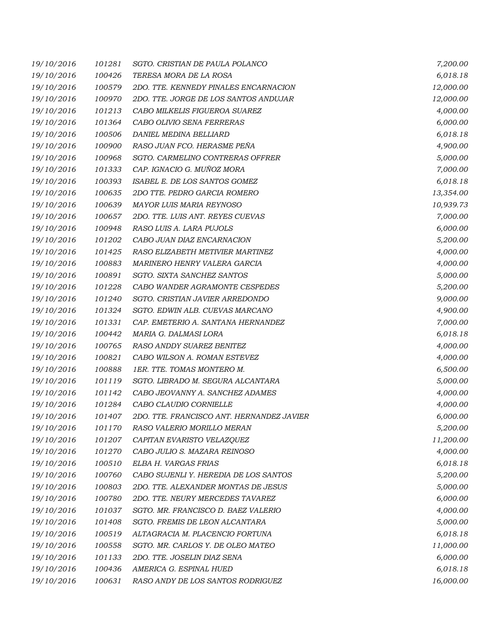| 19/10/2016 | 101281 | SGTO. CRISTIAN DE PAULA POLANCO           | 7,200.00  |
|------------|--------|-------------------------------------------|-----------|
| 19/10/2016 | 100426 | TERESA MORA DE LA ROSA                    | 6,018.18  |
| 19/10/2016 | 100579 | 2DO. TTE. KENNEDY PINALES ENCARNACION     | 12,000.00 |
| 19/10/2016 | 100970 | 2DO. TTE. JORGE DE LOS SANTOS ANDUJAR     | 12,000.00 |
| 19/10/2016 | 101213 | CABO MILKELIS FIGUEROA SUAREZ             | 4,000.00  |
| 19/10/2016 | 101364 | CABO OLIVIO SENA FERRERAS                 | 6,000.00  |
| 19/10/2016 | 100506 | DANIEL MEDINA BELLIARD                    | 6,018.18  |
| 19/10/2016 | 100900 | RASO JUAN FCO. HERASME PEÑA               | 4,900.00  |
| 19/10/2016 | 100968 | SGTO. CARMELINO CONTRERAS OFFRER          | 5,000.00  |
| 19/10/2016 | 101333 | CAP. IGNACIO G. MUÑOZ MORA                | 7,000.00  |
| 19/10/2016 | 100393 | ISABEL E. DE LOS SANTOS GOMEZ             | 6,018.18  |
| 19/10/2016 | 100635 | 2DO TTE. PEDRO GARCIA ROMERO              | 13,354.00 |
| 19/10/2016 | 100639 | MAYOR LUIS MARIA REYNOSO                  | 10,939.73 |
| 19/10/2016 | 100657 | 2DO. TTE. LUIS ANT. REYES CUEVAS          | 7,000.00  |
| 19/10/2016 | 100948 | RASO LUIS A. LARA PUJOLS                  | 6,000.00  |
| 19/10/2016 | 101202 | CABO JUAN DIAZ ENCARNACION                | 5,200.00  |
| 19/10/2016 | 101425 | RASO ELIZABETH METIVIER MARTINEZ          | 4,000.00  |
| 19/10/2016 | 100883 | MARINERO HENRY VALERA GARCIA              | 4,000.00  |
| 19/10/2016 | 100891 | SGTO. SIXTA SANCHEZ SANTOS                | 5,000.00  |
| 19/10/2016 | 101228 | CABO WANDER AGRAMONTE CESPEDES            | 5,200.00  |
| 19/10/2016 | 101240 | SGTO. CRISTIAN JAVIER ARREDONDO           | 9,000.00  |
| 19/10/2016 | 101324 | SGTO. EDWIN ALB. CUEVAS MARCANO           | 4,900.00  |
| 19/10/2016 | 101331 | CAP. EMETERIO A. SANTANA HERNANDEZ        | 7,000.00  |
| 19/10/2016 | 100442 | MARIA G. DALMASI LORA                     | 6,018.18  |
| 19/10/2016 | 100765 | RASO ANDDY SUAREZ BENITEZ                 | 4,000.00  |
| 19/10/2016 | 100821 | CABO WILSON A. ROMAN ESTEVEZ              | 4,000.00  |
| 19/10/2016 | 100888 | 1ER. TTE. TOMAS MONTERO M.                | 6,500.00  |
| 19/10/2016 | 101119 | SGTO. LIBRADO M. SEGURA ALCANTARA         | 5,000.00  |
| 19/10/2016 | 101142 | CABO JEOVANNY A. SANCHEZ ADAMES           | 4,000.00  |
| 19/10/2016 | 101284 | CABO CLAUDIO CORNIELLE                    | 4,000.00  |
| 19/10/2016 | 101407 | 2DO. TTE. FRANCISCO ANT. HERNANDEZ JAVIER | 6,000.00  |
| 19/10/2016 | 101170 | RASO VALERIO MORILLO MERAN                | 5,200.00  |
| 19/10/2016 | 101207 | CAPITAN EVARISTO VELAZQUEZ                | 11,200.00 |
| 19/10/2016 | 101270 | CABO JULIO S. MAZARA REINOSO              | 4,000.00  |
| 19/10/2016 | 100510 | ELBA H. VARGAS FRIAS                      | 6,018.18  |
| 19/10/2016 | 100760 | CABO SUJENLI Y. HEREDIA DE LOS SANTOS     | 5,200.00  |
| 19/10/2016 | 100803 | 2DO. TTE. ALEXANDER MONTAS DE JESUS       | 5,000.00  |
| 19/10/2016 | 100780 | 2DO. TTE. NEURY MERCEDES TAVAREZ          | 6,000.00  |
| 19/10/2016 | 101037 | SGTO. MR. FRANCISCO D. BAEZ VALERIO       | 4,000.00  |
| 19/10/2016 | 101408 | SGTO. FREMIS DE LEON ALCANTARA            | 5,000.00  |
| 19/10/2016 | 100519 | ALTAGRACIA M. PLACENCIO FORTUNA           | 6,018.18  |
| 19/10/2016 | 100558 | SGTO. MR. CARLOS Y. DE OLEO MATEO         | 11,000.00 |
| 19/10/2016 | 101133 | 2DO. TTE. JOSELIN DIAZ SENA               | 6,000.00  |
| 19/10/2016 | 100436 | AMERICA G. ESPINAL HUED                   | 6,018.18  |
| 19/10/2016 | 100631 | RASO ANDY DE LOS SANTOS RODRIGUEZ         | 16,000.00 |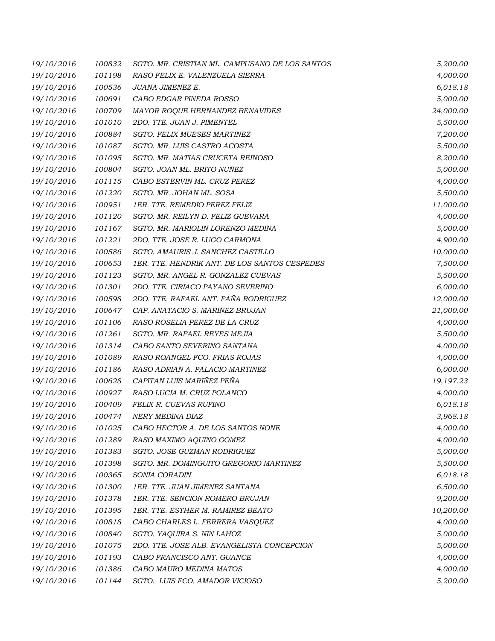| 19/10/2016 | 100832 | SGTO. MR. CRISTIAN ML. CAMPUSANO DE LOS SANTOS | 5,200.00  |
|------------|--------|------------------------------------------------|-----------|
| 19/10/2016 | 101198 | RASO FELIX E. VALENZUELA SIERRA                | 4,000.00  |
| 19/10/2016 | 100536 | JUANA JIMENEZ E.                               | 6,018.18  |
| 19/10/2016 | 100691 | CABO EDGAR PINEDA ROSSO                        | 5,000.00  |
| 19/10/2016 | 100709 | MAYOR ROQUE HERNANDEZ BENAVIDES                | 24,000.00 |
| 19/10/2016 | 101010 | 2DO. TTE. JUAN J. PIMENTEL                     | 5,500.00  |
| 19/10/2016 | 100884 | SGTO. FELIX MUESES MARTINEZ                    | 7,200.00  |
| 19/10/2016 | 101087 | SGTO. MR. LUIS CASTRO ACOSTA                   | 5,500.00  |
| 19/10/2016 | 101095 | SGTO. MR. MATIAS CRUCETA REINOSO               | 8,200.00  |
| 19/10/2016 | 100804 | SGTO. JOAN ML. BRITO NUÑEZ                     | 5,000.00  |
| 19/10/2016 | 101115 | CABO ESTERVIN ML. CRUZ PEREZ                   | 4,000.00  |
| 19/10/2016 | 101220 | SGTO. MR. JOHAN ML. SOSA                       | 5,500.00  |
| 19/10/2016 | 100951 | 1ER. TTE. REMEDIO PEREZ FELIZ                  | 11,000.00 |
| 19/10/2016 | 101120 | SGTO. MR. REILYN D. FELIZ GUEVARA              | 4,000.00  |
| 19/10/2016 | 101167 | SGTO. MR. MARIOLIN LORENZO MEDINA              | 5,000.00  |
| 19/10/2016 | 101221 | 2DO. TTE. JOSE R. LUGO CARMONA                 | 4,900.00  |
| 19/10/2016 | 100586 | SGTO. AMAURIS J. SANCHEZ CASTILLO              | 10,000.00 |
| 19/10/2016 | 100653 | 1ER. TTE. HENDRIK ANT. DE LOS SANTOS CESPEDES  | 7,500.00  |
| 19/10/2016 | 101123 | SGTO. MR. ANGEL R. GONZALEZ CUEVAS             | 5,500.00  |
| 19/10/2016 | 101301 | 2DO. TTE. CIRIACO PAYANO SEVERINO              | 6,000.00  |
| 19/10/2016 | 100598 | 2DO. TTE. RAFAEL ANT. FAÑA RODRIGUEZ           | 12,000.00 |
| 19/10/2016 | 100647 | CAP. ANATACIO S. MARIÑEZ BRUJAN                | 21,000.00 |
| 19/10/2016 | 101106 | RASO ROSELIA PEREZ DE LA CRUZ                  | 4,000.00  |
| 19/10/2016 | 101261 | SGTO. MR. RAFAEL REYES MEJIA                   | 5,500.00  |
| 19/10/2016 | 101314 | CABO SANTO SEVERINO SANTANA                    | 4,000.00  |
| 19/10/2016 | 101089 | RASO ROANGEL FCO. FRIAS ROJAS                  | 4,000.00  |
| 19/10/2016 | 101186 | RASO ADRIAN A. PALACIO MARTINEZ                | 6,000.00  |
| 19/10/2016 | 100628 | CAPITAN LUIS MARIÑEZ PEÑA                      | 19,197.23 |
| 19/10/2016 | 100927 | RASO LUCIA M. CRUZ POLANCO                     | 4,000.00  |
| 19/10/2016 | 100409 | <b>FELIX R. CUEVAS RUFINO</b>                  | 6,018.18  |
| 19/10/2016 | 100474 | NERY MEDINA DIAZ                               | 3,968.18  |
| 19/10/2016 | 101025 | CABO HECTOR A. DE LOS SANTOS NONE              | 4,000.00  |
| 19/10/2016 | 101289 | RASO MAXIMO AQUINO GOMEZ                       | 4,000.00  |
| 19/10/2016 | 101383 | SGTO. JOSE GUZMAN RODRIGUEZ                    | 5,000.00  |
| 19/10/2016 | 101398 | SGTO. MR. DOMINGUITO GREGORIO MARTINEZ         | 5,500.00  |
| 19/10/2016 | 100365 | SONIA CORADIN                                  | 6,018.18  |
| 19/10/2016 | 101300 | 1ER. TTE. JUAN JIMENEZ SANTANA                 | 6,500.00  |
| 19/10/2016 | 101378 | 1ER. TTE. SENCION ROMERO BRUJAN                | 9,200.00  |
| 19/10/2016 | 101395 | 1ER. TTE. ESTHER M. RAMIREZ BEATO              | 10,200.00 |
| 19/10/2016 | 100818 | CABO CHARLES L. FERRERA VASQUEZ                | 4,000.00  |
| 19/10/2016 | 100840 | SGTO. YAQUIRA S. NIN LAHOZ                     | 5,000.00  |
| 19/10/2016 | 101075 | 2DO. TTE. JOSE ALB. EVANGELISTA CONCEPCION     | 5,000.00  |
| 19/10/2016 | 101193 | CABO FRANCISCO ANT. GUANCE                     | 4,000.00  |
| 19/10/2016 | 101386 | CABO MAURO MEDINA MATOS                        | 4,000.00  |
| 19/10/2016 | 101144 | SGTO. LUIS FCO. AMADOR VICIOSO                 | 5,200.00  |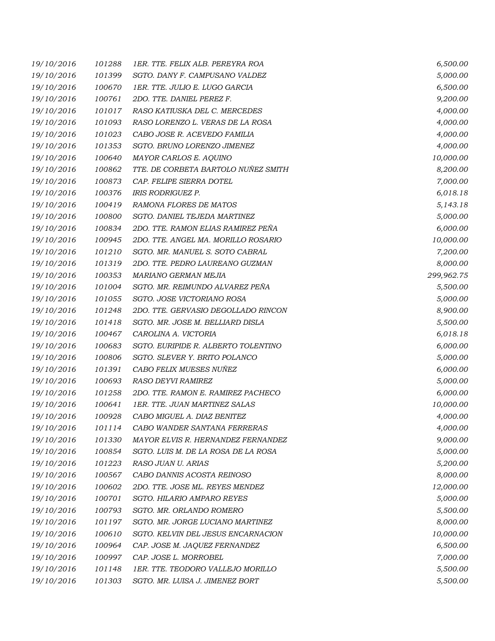| 19/10/2016 | 101288 | 1ER. TTE. FELIX ALB. PEREYRA ROA     | 6,500.00   |
|------------|--------|--------------------------------------|------------|
| 19/10/2016 | 101399 | SGTO. DANY F. CAMPUSANO VALDEZ       | 5,000.00   |
| 19/10/2016 | 100670 | 1ER. TTE. JULIO E. LUGO GARCIA       | 6,500.00   |
| 19/10/2016 | 100761 | 2DO. TTE. DANIEL PEREZ F.            | 9,200.00   |
| 19/10/2016 | 101017 | RASO KATIUSKA DEL C. MERCEDES        | 4,000.00   |
| 19/10/2016 | 101093 | RASO LORENZO L. VERAS DE LA ROSA     | 4,000.00   |
| 19/10/2016 | 101023 | CABO JOSE R. ACEVEDO FAMILIA         | 4,000.00   |
| 19/10/2016 | 101353 | SGTO. BRUNO LORENZO JIMENEZ          | 4,000.00   |
| 19/10/2016 | 100640 | MAYOR CARLOS E. AQUINO               | 10,000.00  |
| 19/10/2016 | 100862 | TTE. DE CORBETA BARTOLO NUÑEZ SMITH  | 8,200.00   |
| 19/10/2016 | 100873 | CAP. FELIPE SIERRA DOTEL             | 7,000.00   |
| 19/10/2016 | 100376 | <b>IRIS RODRIGUEZ P.</b>             | 6,018.18   |
| 19/10/2016 | 100419 | RAMONA FLORES DE MATOS               | 5,143.18   |
| 19/10/2016 | 100800 | SGTO. DANIEL TEJEDA MARTINEZ         | 5,000.00   |
| 19/10/2016 | 100834 | 2DO. TTE. RAMON ELIAS RAMIREZ PEÑA   | 6,000.00   |
| 19/10/2016 | 100945 | 2DO. TTE. ANGEL MA. MORILLO ROSARIO  | 10,000.00  |
| 19/10/2016 | 101210 | SGTO. MR. MANUEL S. SOTO CABRAL      | 7,200.00   |
| 19/10/2016 | 101319 | 2DO. TTE. PEDRO LAUREANO GUZMAN      | 8,000.00   |
| 19/10/2016 | 100353 | MARIANO GERMAN MEJIA                 | 299,962.75 |
| 19/10/2016 | 101004 | SGTO. MR. REIMUNDO ALVAREZ PEÑA      | 5,500.00   |
| 19/10/2016 | 101055 | SGTO. JOSE VICTORIANO ROSA           | 5,000.00   |
| 19/10/2016 | 101248 | 2DO. TTE. GERVASIO DEGOLLADO RINCON  | 8,900.00   |
| 19/10/2016 | 101418 | SGTO. MR. JOSE M. BELLIARD DISLA     | 5,500.00   |
| 19/10/2016 | 100467 | CAROLINA A. VICTORIA                 | 6,018.18   |
| 19/10/2016 | 100683 | SGTO. EURIPIDE R. ALBERTO TOLENTINO  | 6,000.00   |
| 19/10/2016 | 100806 | SGTO. SLEVER Y. BRITO POLANCO        | 5,000.00   |
| 19/10/2016 | 101391 | CABO FELIX MUESES NUÑEZ              | 6,000.00   |
| 19/10/2016 | 100693 | RASO DEYVI RAMIREZ                   | 5,000.00   |
| 19/10/2016 | 101258 | 2DO. TTE. RAMON E. RAMIREZ PACHECO   | 6,000.00   |
| 19/10/2016 | 100641 | <b>1ER. TTE. JUAN MARTINEZ SALAS</b> | 10,000.00  |
| 19/10/2016 | 100928 | CABO MIGUEL A. DIAZ BENITEZ          | 4,000.00   |
| 19/10/2016 | 101114 | CABO WANDER SANTANA FERRERAS         | 4,000.00   |
| 19/10/2016 | 101330 | MAYOR ELVIS R. HERNANDEZ FERNANDEZ   | 9,000.00   |
| 19/10/2016 | 100854 | SGTO. LUIS M. DE LA ROSA DE LA ROSA  | 5,000.00   |
| 19/10/2016 | 101223 | RASO JUAN U. ARIAS                   | 5,200.00   |
| 19/10/2016 | 100567 | CABO DANNIS ACOSTA REINOSO           | 8,000.00   |
| 19/10/2016 | 100602 | 2DO. TTE. JOSE ML. REYES MENDEZ      | 12,000.00  |
| 19/10/2016 | 100701 | SGTO. HILARIO AMPARO REYES           | 5,000.00   |
| 19/10/2016 | 100793 | SGTO. MR. ORLANDO ROMERO             | 5,500.00   |
| 19/10/2016 | 101197 | SGTO. MR. JORGE LUCIANO MARTINEZ     | 8,000.00   |
| 19/10/2016 | 100610 | SGTO. KELVIN DEL JESUS ENCARNACION   | 10,000.00  |
| 19/10/2016 | 100964 | CAP. JOSE M. JAQUEZ FERNANDEZ        | 6,500.00   |
| 19/10/2016 | 100997 | CAP. JOSE L. MORROBEL                | 7,000.00   |
| 19/10/2016 | 101148 | 1ER. TTE. TEODORO VALLEJO MORILLO    | 5,500.00   |
| 19/10/2016 | 101303 | SGTO. MR. LUISA J. JIMENEZ BORT      | 5,500.00   |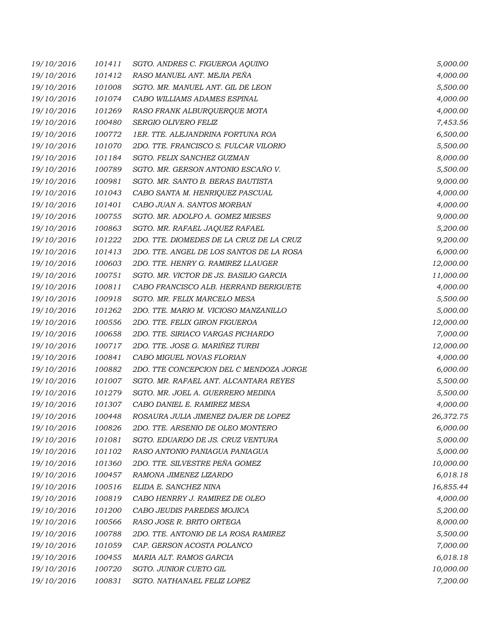| 19/10/2016 | 101411 | SGTO. ANDRES C. FIGUEROA AQUINO          | 5,000.00  |
|------------|--------|------------------------------------------|-----------|
| 19/10/2016 | 101412 | RASO MANUEL ANT. MEJIA PEÑA              | 4,000.00  |
| 19/10/2016 | 101008 | SGTO. MR. MANUEL ANT. GIL DE LEON        | 5,500.00  |
| 19/10/2016 | 101074 | CABO WILLIAMS ADAMES ESPINAL             | 4,000.00  |
| 19/10/2016 | 101269 | RASO FRANK ALBURQUERQUE MOTA             | 4,000.00  |
| 19/10/2016 | 100480 | SERGIO OLIVERO FELIZ                     | 7,453.56  |
| 19/10/2016 | 100772 | 1ER. TTE. ALEJANDRINA FORTUNA ROA        | 6,500.00  |
| 19/10/2016 | 101070 | 2DO. TTE. FRANCISCO S. FULCAR VILORIO    | 5,500.00  |
| 19/10/2016 | 101184 | SGTO. FELIX SANCHEZ GUZMAN               | 8,000.00  |
| 19/10/2016 | 100789 | SGTO. MR. GERSON ANTONIO ESCAÑO V.       | 5,500.00  |
| 19/10/2016 | 100981 | SGTO. MR. SANTO B. BERAS BAUTISTA        | 9,000.00  |
| 19/10/2016 | 101043 | CABO SANTA M. HENRIQUEZ PASCUAL          | 4,000.00  |
| 19/10/2016 | 101401 | CABO JUAN A. SANTOS MORBAN               | 4,000.00  |
| 19/10/2016 | 100755 | SGTO. MR. ADOLFO A. GOMEZ MIESES         | 9,000.00  |
| 19/10/2016 | 100863 | SGTO. MR. RAFAEL JAQUEZ RAFAEL           | 5,200.00  |
| 19/10/2016 | 101222 | 2DO. TTE. DIOMEDES DE LA CRUZ DE LA CRUZ | 9,200.00  |
| 19/10/2016 | 101413 | 2DO. TTE. ANGEL DE LOS SANTOS DE LA ROSA | 6,000.00  |
| 19/10/2016 | 100603 | 2DO. TTE. HENRY G. RAMIREZ LLAUGER       | 12,000.00 |
| 19/10/2016 | 100751 | SGTO. MR. VICTOR DE JS. BASILIO GARCIA   | 11,000.00 |
| 19/10/2016 | 100811 | CABO FRANCISCO ALB. HERRAND BERIGUETE    | 4,000.00  |
| 19/10/2016 | 100918 | SGTO. MR. FELIX MARCELO MESA             | 5,500.00  |
| 19/10/2016 | 101262 | 2DO. TTE. MARIO M. VICIOSO MANZANILLO    | 5,000.00  |
| 19/10/2016 | 100556 | 2DO. TTE. FELIX GIRON FIGUEROA           | 12,000.00 |
| 19/10/2016 | 100658 | 2DO. TTE. SIRIACO VARGAS PICHARDO        | 7,000.00  |
| 19/10/2016 | 100717 | 2DO. TTE. JOSE G. MARIÑEZ TURBI          | 12,000.00 |
| 19/10/2016 | 100841 | CABO MIGUEL NOVAS FLORIAN                | 4,000.00  |
| 19/10/2016 | 100882 | 2DO. TTE CONCEPCION DEL C MENDOZA JORGE  | 6,000.00  |
| 19/10/2016 | 101007 | SGTO. MR. RAFAEL ANT. ALCANTARA REYES    | 5,500.00  |
| 19/10/2016 | 101279 | SGTO. MR. JOEL A. GUERRERO MEDINA        | 5,500.00  |
| 19/10/2016 | 101307 | CABO DANIEL E. RAMIREZ MESA              | 4,000.00  |
| 19/10/2016 | 100448 | ROSAURA JULIA JIMENEZ DAJER DE LOPEZ     | 26,372.75 |
| 19/10/2016 | 100826 | 2DO. TTE. ARSENIO DE OLEO MONTERO        | 6,000.00  |
| 19/10/2016 | 101081 | SGTO. EDUARDO DE JS. CRUZ VENTURA        | 5,000.00  |
| 19/10/2016 | 101102 | RASO ANTONIO PANIAGUA PANIAGUA           | 5,000.00  |
| 19/10/2016 | 101360 | 2DO. TTE. SILVESTRE PEÑA GOMEZ           | 10,000.00 |
| 19/10/2016 | 100457 | RAMONA JIMENEZ LIZARDO                   | 6,018.18  |
| 19/10/2016 | 100516 | ELIDA E. SANCHEZ NINA                    | 16,855.44 |
| 19/10/2016 | 100819 | CABO HENRRY J. RAMIREZ DE OLEO           | 4,000.00  |
| 19/10/2016 | 101200 | CABO JEUDIS PAREDES MOJICA               | 5,200.00  |
| 19/10/2016 | 100566 | RASO JOSE R. BRITO ORTEGA                | 8,000.00  |
| 19/10/2016 | 100788 | 2DO. TTE. ANTONIO DE LA ROSA RAMIREZ     | 5,500.00  |
| 19/10/2016 | 101059 | CAP. GERSON ACOSTA POLANCO               | 7,000.00  |
| 19/10/2016 | 100455 | MARIA ALT. RAMOS GARCIA                  | 6,018.18  |
| 19/10/2016 | 100720 | SGTO. JUNIOR CUETO GIL                   | 10,000.00 |
| 19/10/2016 | 100831 | SGTO. NATHANAEL FELIZ LOPEZ              | 7,200.00  |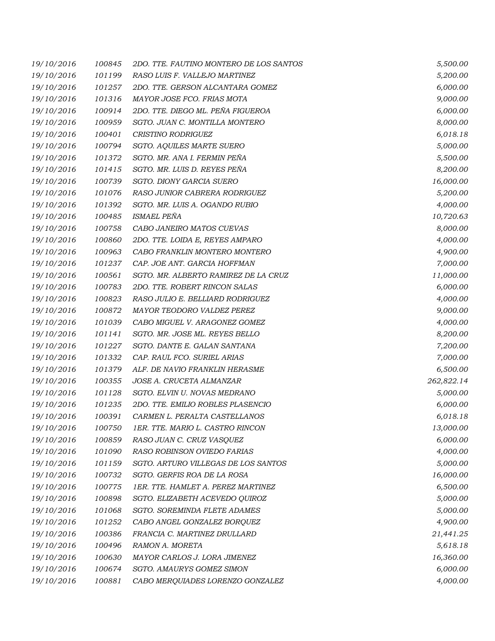| 19/10/2016 | 100845 | 2DO. TTE. FAUTINO MONTERO DE LOS SANTOS | 5,500.00   |
|------------|--------|-----------------------------------------|------------|
| 19/10/2016 | 101199 | RASO LUIS F. VALLEJO MARTINEZ           | 5,200.00   |
| 19/10/2016 | 101257 | 2DO. TTE. GERSON ALCANTARA GOMEZ        | 6,000.00   |
| 19/10/2016 | 101316 | MAYOR JOSE FCO. FRIAS MOTA              | 9,000.00   |
| 19/10/2016 | 100914 | 2DO. TTE. DIEGO ML. PEÑA FIGUEROA       | 6,000.00   |
| 19/10/2016 | 100959 | SGTO. JUAN C. MONTILLA MONTERO          | 8,000.00   |
| 19/10/2016 | 100401 | CRISTINO RODRIGUEZ                      | 6,018.18   |
| 19/10/2016 | 100794 | SGTO. AQUILES MARTE SUERO               | 5,000.00   |
| 19/10/2016 | 101372 | SGTO. MR. ANA I. FERMIN PEÑA            | 5,500.00   |
| 19/10/2016 | 101415 | SGTO. MR. LUIS D. REYES PEÑA            | 8,200.00   |
| 19/10/2016 | 100739 | SGTO. DIONY GARCIA SUERO                | 16,000.00  |
| 19/10/2016 | 101076 | RASO JUNIOR CABRERA RODRIGUEZ           | 5,200.00   |
| 19/10/2016 | 101392 | SGTO. MR. LUIS A. OGANDO RUBIO          | 4,000.00   |
| 19/10/2016 | 100485 | ISMAEL PEÑA                             | 10,720.63  |
| 19/10/2016 | 100758 | CABO JANEIRO MATOS CUEVAS               | 8,000.00   |
| 19/10/2016 | 100860 | 2DO. TTE. LOIDA E, REYES AMPARO         | 4,000.00   |
| 19/10/2016 | 100963 | CABO FRANKLIN MONTERO MONTERO           | 4,900.00   |
| 19/10/2016 | 101237 | CAP. JOE ANT. GARCIA HOFFMAN            | 7,000.00   |
| 19/10/2016 | 100561 | SGTO. MR. ALBERTO RAMIREZ DE LA CRUZ    | 11,000.00  |
| 19/10/2016 | 100783 | 2DO. TTE. ROBERT RINCON SALAS           | 6,000.00   |
| 19/10/2016 | 100823 | RASO JULIO E. BELLIARD RODRIGUEZ        | 4,000.00   |
| 19/10/2016 | 100872 | MAYOR TEODORO VALDEZ PEREZ              | 9,000.00   |
| 19/10/2016 | 101039 | CABO MIGUEL V. ARAGONEZ GOMEZ           | 4,000.00   |
| 19/10/2016 | 101141 | SGTO. MR. JOSE ML. REYES BELLO          | 8,200.00   |
| 19/10/2016 | 101227 | SGTO. DANTE E. GALAN SANTANA            | 7,200.00   |
| 19/10/2016 | 101332 | CAP. RAUL FCO. SURIEL ARIAS             | 7,000.00   |
| 19/10/2016 | 101379 | ALF. DE NAVIO FRANKLIN HERASME          | 6,500.00   |
| 19/10/2016 | 100355 | JOSE A. CRUCETA ALMANZAR                | 262,822.14 |
| 19/10/2016 | 101128 | SGTO. ELVIN U. NOVAS MEDRANO            | 5,000.00   |
| 19/10/2016 | 101235 | 2DO. TTE. EMILIO ROBLES PLASENCIO       | 6,000.00   |
| 19/10/2016 | 100391 | CARMEN L. PERALTA CASTELLANOS           | 6,018.18   |
| 19/10/2016 | 100750 | 1ER. TTE. MARIO L. CASTRO RINCON        | 13,000.00  |
| 19/10/2016 | 100859 | RASO JUAN C. CRUZ VASQUEZ               | 6,000.00   |
| 19/10/2016 | 101090 | RASO ROBINSON OVIEDO FARIAS             | 4,000.00   |
| 19/10/2016 | 101159 | SGTO. ARTURO VILLEGAS DE LOS SANTOS     | 5,000.00   |
| 19/10/2016 | 100732 | SGTO. GERFIS ROA DE LA ROSA             | 16,000.00  |
| 19/10/2016 | 100775 | 1ER. TTE. HAMLET A. PEREZ MARTINEZ      | 6,500.00   |
| 19/10/2016 | 100898 | SGTO. ELIZABETH ACEVEDO QUIROZ          | 5,000.00   |
| 19/10/2016 | 101068 | SGTO. SOREMINDA FLETE ADAMES            | 5,000.00   |
| 19/10/2016 | 101252 | CABO ANGEL GONZALEZ BORQUEZ             | 4,900.00   |
| 19/10/2016 | 100386 | FRANCIA C. MARTINEZ DRULLARD            | 21,441.25  |
| 19/10/2016 | 100496 | RAMON A. MORETA                         | 5,618.18   |
| 19/10/2016 | 100630 | MAYOR CARLOS J. LORA JIMENEZ            | 16,360.00  |
| 19/10/2016 | 100674 | SGTO. AMAURYS GOMEZ SIMON               | 6,000.00   |
| 19/10/2016 | 100881 | CABO MERQUIADES LORENZO GONZALEZ        | 4,000.00   |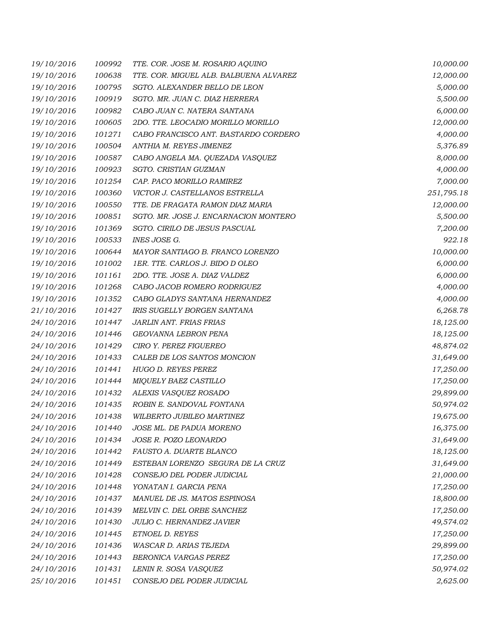| 19/10/2016 | 100992 | TTE. COR. JOSE M. ROSARIO AQUINO       | 10,000.00  |
|------------|--------|----------------------------------------|------------|
| 19/10/2016 | 100638 | TTE. COR. MIGUEL ALB. BALBUENA ALVAREZ | 12,000.00  |
| 19/10/2016 | 100795 | SGTO. ALEXANDER BELLO DE LEON          | 5,000.00   |
| 19/10/2016 | 100919 | SGTO. MR. JUAN C. DIAZ HERRERA         | 5,500.00   |
| 19/10/2016 | 100982 | CABO JUAN C. NATERA SANTANA            | 6,000.00   |
| 19/10/2016 | 100605 | 2DO. TTE. LEOCADIO MORILLO MORILLO     | 12,000.00  |
| 19/10/2016 | 101271 | CABO FRANCISCO ANT. BASTARDO CORDERO   | 4,000.00   |
| 19/10/2016 | 100504 | ANTHIA M. REYES JIMENEZ                | 5,376.89   |
| 19/10/2016 | 100587 | CABO ANGELA MA. QUEZADA VASQUEZ        | 8,000.00   |
| 19/10/2016 | 100923 | SGTO. CRISTIAN GUZMAN                  | 4,000.00   |
| 19/10/2016 | 101254 | CAP. PACO MORILLO RAMIREZ              | 7,000.00   |
| 19/10/2016 | 100360 | VICTOR J. CASTELLANOS ESTRELLA         | 251,795.18 |
| 19/10/2016 | 100550 | TTE. DE FRAGATA RAMON DIAZ MARIA       | 12,000.00  |
| 19/10/2016 | 100851 | SGTO. MR. JOSE J. ENCARNACION MONTERO  | 5,500.00   |
| 19/10/2016 | 101369 | SGTO. CIRILO DE JESUS PASCUAL          | 7,200.00   |
| 19/10/2016 | 100533 | INES JOSE G.                           | 922.18     |
| 19/10/2016 | 100644 | MAYOR SANTIAGO B. FRANCO LORENZO       | 10,000.00  |
| 19/10/2016 | 101002 | 1ER. TTE. CARLOS J. BIDO D OLEO        | 6,000.00   |
| 19/10/2016 | 101161 | 2DO. TTE. JOSE A. DIAZ VALDEZ          | 6,000.00   |
| 19/10/2016 | 101268 | CABO JACOB ROMERO RODRIGUEZ            | 4,000.00   |
| 19/10/2016 | 101352 | CABO GLADYS SANTANA HERNANDEZ          | 4,000.00   |
| 21/10/2016 | 101427 | IRIS SUGELLY BORGEN SANTANA            | 6,268.78   |
| 24/10/2016 | 101447 | JARLIN ANT. FRIAS FRIAS                | 18,125.00  |
| 24/10/2016 | 101446 | GEOVANNA LEBRON PENA                   | 18,125.00  |
| 24/10/2016 | 101429 | CIRO Y. PEREZ FIGUEREO                 | 48,874.02  |
| 24/10/2016 | 101433 | CALEB DE LOS SANTOS MONCION            | 31,649.00  |
| 24/10/2016 | 101441 | HUGO D. REYES PEREZ                    | 17,250.00  |
| 24/10/2016 | 101444 | MIQUELY BAEZ CASTILLO                  | 17,250.00  |
| 24/10/2016 | 101432 | ALEXIS VASQUEZ ROSADO                  | 29,899.00  |
| 24/10/2016 | 101435 | ROBIN E. SANDOVAL FONTANA              | 50,974.02  |
| 24/10/2016 | 101438 | WILBERTO JUBILEO MARTINEZ              | 19,675.00  |
| 24/10/2016 | 101440 | JOSE ML. DE PADUA MORENO               | 16,375.00  |
| 24/10/2016 | 101434 | JOSE R. POZO LEONARDO                  | 31,649.00  |
| 24/10/2016 | 101442 | FAUSTO A. DUARTE BLANCO                | 18,125.00  |
| 24/10/2016 | 101449 | ESTEBAN LORENZO SEGURA DE LA CRUZ      | 31,649.00  |
| 24/10/2016 | 101428 | CONSEJO DEL PODER JUDICIAL             | 21,000.00  |
| 24/10/2016 | 101448 | YONATAN I. GARCIA PENA                 | 17,250.00  |
| 24/10/2016 | 101437 | MANUEL DE JS. MATOS ESPINOSA           | 18,800.00  |
| 24/10/2016 | 101439 | MELVIN C. DEL ORBE SANCHEZ             | 17,250.00  |
| 24/10/2016 | 101430 | JULIO C. HERNANDEZ JAVIER              | 49,574.02  |
| 24/10/2016 | 101445 | ETNOEL D. REYES                        | 17,250.00  |
| 24/10/2016 | 101436 | WASCAR D. ARIAS TEJEDA                 | 29,899.00  |
| 24/10/2016 | 101443 | BERONICA VARGAS PEREZ                  | 17,250.00  |
| 24/10/2016 | 101431 | LENIN R. SOSA VASQUEZ                  | 50,974.02  |
| 25/10/2016 | 101451 | CONSEJO DEL PODER JUDICIAL             | 2,625.00   |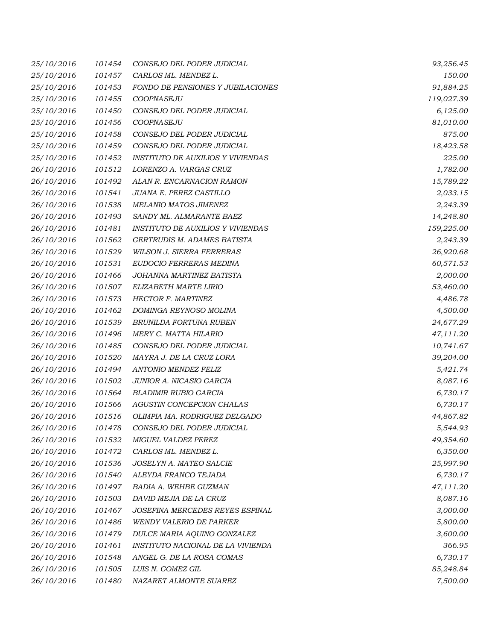| 25/10/2016 | 101454 | CONSEJO DEL PODER JUDICIAL               | 93,256.45  |
|------------|--------|------------------------------------------|------------|
| 25/10/2016 | 101457 | CARLOS ML. MENDEZ L.                     | 150.00     |
| 25/10/2016 | 101453 | FONDO DE PENSIONES Y JUBILACIONES        | 91,884.25  |
| 25/10/2016 | 101455 | COOPNASEJU                               | 119,027.39 |
| 25/10/2016 | 101450 | CONSEJO DEL PODER JUDICIAL               | 6,125.00   |
| 25/10/2016 | 101456 | COOPNASEJU                               | 81,010.00  |
| 25/10/2016 | 101458 | CONSEJO DEL PODER JUDICIAL               | 875.00     |
| 25/10/2016 | 101459 | CONSEJO DEL PODER JUDICIAL               | 18,423.58  |
| 25/10/2016 | 101452 | <b>INSTITUTO DE AUXILIOS Y VIVIENDAS</b> | 225.00     |
| 26/10/2016 | 101512 | LORENZO A. VARGAS CRUZ                   | 1,782.00   |
| 26/10/2016 | 101492 | ALAN R. ENCARNACION RAMON                | 15,789.22  |
| 26/10/2016 | 101541 | JUANA E. PEREZ CASTILLO                  | 2,033.15   |
| 26/10/2016 | 101538 | MELANIO MATOS JIMENEZ                    | 2,243.39   |
| 26/10/2016 | 101493 | SANDY ML. ALMARANTE BAEZ                 | 14,248.80  |
| 26/10/2016 | 101481 | <b>INSTITUTO DE AUXILIOS Y VIVIENDAS</b> | 159,225.00 |
| 26/10/2016 | 101562 | GERTRUDIS M. ADAMES BATISTA              | 2,243.39   |
| 26/10/2016 | 101529 | <b>WILSON J. SIERRA FERRERAS</b>         | 26,920.68  |
| 26/10/2016 | 101531 | EUDOCIO FERRERAS MEDINA                  | 60,571.53  |
| 26/10/2016 | 101466 | JOHANNA MARTINEZ BATISTA                 | 2,000.00   |
| 26/10/2016 | 101507 | ELIZABETH MARTE LIRIO                    | 53,460.00  |
| 26/10/2016 | 101573 | HECTOR F. MARTINEZ                       | 4,486.78   |
| 26/10/2016 | 101462 | DOMINGA REYNOSO MOLINA                   | 4,500.00   |
| 26/10/2016 | 101539 | BRUNILDA FORTUNA RUBEN                   | 24,677.29  |
| 26/10/2016 | 101496 | MERY C. MATTA HILARIO                    | 47,111.20  |
| 26/10/2016 | 101485 | CONSEJO DEL PODER JUDICIAL               | 10,741.67  |
| 26/10/2016 | 101520 | MAYRA J. DE LA CRUZ LORA                 | 39,204.00  |
| 26/10/2016 | 101494 | ANTONIO MENDEZ FELIZ                     | 5,421.74   |
| 26/10/2016 | 101502 | JUNIOR A. NICASIO GARCIA                 | 8,087.16   |
| 26/10/2016 | 101564 | <b>BLADIMIR RUBIO GARCIA</b>             | 6,730.17   |
| 26/10/2016 | 101566 | AGUSTIN CONCEPCION CHALAS                | 6,730.17   |
| 26/10/2016 | 101516 | OLIMPIA MA. RODRIGUEZ DELGADO            | 44,867.82  |
| 26/10/2016 | 101478 | CONSEJO DEL PODER JUDICIAL               | 5,544.93   |
| 26/10/2016 | 101532 | MIGUEL VALDEZ PEREZ                      | 49,354.60  |
| 26/10/2016 | 101472 | CARLOS ML. MENDEZ L.                     | 6,350.00   |
| 26/10/2016 | 101536 | JOSELYN A. MATEO SALCIE                  | 25,997.90  |
| 26/10/2016 | 101540 | ALEYDA FRANCO TEJADA                     | 6,730.17   |
| 26/10/2016 | 101497 | <b>BADIA A. WEHBE GUZMAN</b>             | 47,111.20  |
| 26/10/2016 | 101503 | DAVID MEJIA DE LA CRUZ                   | 8,087.16   |
| 26/10/2016 | 101467 | JOSEFINA MERCEDES REYES ESPINAL          | 3,000.00   |
| 26/10/2016 | 101486 | <b>WENDY VALERIO DE PARKER</b>           | 5,800.00   |
| 26/10/2016 | 101479 | DULCE MARIA AQUINO GONZALEZ              | 3,600.00   |
| 26/10/2016 | 101461 | INSTITUTO NACIONAL DE LA VIVIENDA        | 366.95     |
| 26/10/2016 | 101548 | ANGEL G. DE LA ROSA COMAS                | 6,730.17   |
| 26/10/2016 | 101505 | LUIS N. GOMEZ GIL                        | 85,248.84  |
| 26/10/2016 | 101480 | NAZARET ALMONTE SUAREZ                   | 7,500.00   |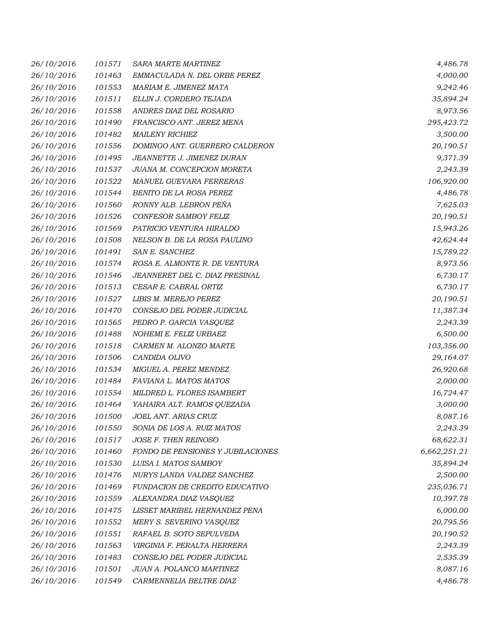| 26/10/2016 | 101571 | <b>SARA MARTE MARTINEZ</b>        | 4,486.78     |
|------------|--------|-----------------------------------|--------------|
| 26/10/2016 | 101463 | EMMACULADA N. DEL ORBE PEREZ      | 4,000.00     |
| 26/10/2016 | 101553 | MARIAM E. JIMENEZ MATA            | 9,242.46     |
| 26/10/2016 | 101511 | ELLIN J. CORDERO TEJADA           | 35,894.24    |
| 26/10/2016 | 101558 | ANDRES DIAZ DEL ROSARIO           | 8,973.56     |
| 26/10/2016 | 101490 | FRANCISCO ANT. JEREZ MENA         | 295,423.72   |
| 26/10/2016 | 101482 | <b>MAILENY RICHIEZ</b>            | 3,500.00     |
| 26/10/2016 | 101556 | DOMINGO ANT. GUERRERO CALDERON    | 20,190.51    |
| 26/10/2016 | 101495 | JEANNETTE J. JIMENEZ DURAN        | 9,371.39     |
| 26/10/2016 | 101537 | JUANA M. CONCEPCION MORETA        | 2,243.39     |
| 26/10/2016 | 101522 | MANUEL GUEVARA FERRERAS           | 106,920.00   |
| 26/10/2016 | 101544 | BENITO DE LA ROSA PEREZ           | 4,486.78     |
| 26/10/2016 | 101560 | RONNY ALB. LEBRON PEÑA            | 7,625.03     |
| 26/10/2016 | 101526 | CONFESOR SAMBOY FELIZ             | 20,190.51    |
| 26/10/2016 | 101569 | PATRICIO VENTURA HIRALDO          | 15,943.26    |
| 26/10/2016 | 101508 | NELSON B. DE LA ROSA PAULINO      | 42,624.44    |
| 26/10/2016 | 101491 | SAN E. SANCHEZ                    | 15,789.22    |
| 26/10/2016 | 101574 | ROSA E. ALMONTE R. DE VENTURA     | 8,973.56     |
| 26/10/2016 | 101546 | JEANNERET DEL C. DIAZ PRESINAL    | 6,730.17     |
| 26/10/2016 | 101513 | CESAR E. CABRAL ORTIZ             | 6,730.17     |
| 26/10/2016 | 101527 | LIBIS M. MEREJO PEREZ             | 20,190.51    |
| 26/10/2016 | 101470 | CONSEJO DEL PODER JUDICIAL        | 11,387.34    |
| 26/10/2016 | 101565 | PEDRO P. GARCIA VASQUEZ           | 2,243.39     |
| 26/10/2016 | 101488 | NOHEMI E. FELIZ URBAEZ            | 6,500.00     |
| 26/10/2016 | 101518 | CARMEN M. ALONZO MARTE            | 103,356.00   |
| 26/10/2016 | 101506 | CANDIDA OLIVO                     | 29,164.07    |
| 26/10/2016 | 101534 | MIGUEL A. PEREZ MENDEZ            | 26,920.68    |
| 26/10/2016 | 101484 | FAVIANA L. MATOS MATOS            | 2,000.00     |
| 26/10/2016 | 101554 | MILDRED L. FLORES ISAMBERT        | 16,724.47    |
| 26/10/2016 | 101464 | YAHAIRA ALT. RAMOS QUEZADA        | 3,000.00     |
| 26/10/2016 | 101500 | JOEL ANT. ARIAS CRUZ              | 8,087.16     |
| 26/10/2016 | 101550 | SONIA DE LOS A. RUIZ MATOS        | 2,243.39     |
| 26/10/2016 | 101517 | JOSE F. THEN REINOSO              | 68,622.31    |
| 26/10/2016 | 101460 | FONDO DE PENSIONES Y JUBILACIONES | 6,662,251.21 |
| 26/10/2016 | 101530 | LUISA I. MATOS SAMBOY             | 35,894.24    |
| 26/10/2016 | 101476 | NURYS LANDA VALDEZ SANCHEZ        | 2,500.00     |
| 26/10/2016 | 101469 | FUNDACION DE CREDITO EDUCATIVO    | 235,036.71   |
| 26/10/2016 | 101559 | ALEXANDRA DIAZ VASQUEZ            | 10,397.78    |
| 26/10/2016 | 101475 | LISSET MARIBEL HERNANDEZ PENA     | 6,000.00     |
| 26/10/2016 | 101552 | MERY S. SEVERINO VASQUEZ          | 20,795.56    |
| 26/10/2016 | 101551 | RAFAEL B. SOTO SEPULVEDA          | 20,190.52    |
| 26/10/2016 | 101563 | VIRGINIA F. PERALTA HERRERA       | 2,243.39     |
| 26/10/2016 | 101483 | CONSEJO DEL PODER JUDICIAL        | 2,535.39     |
| 26/10/2016 | 101501 | JUAN A. POLANCO MARTINEZ          | 8,087.16     |
| 26/10/2016 | 101549 | CARMENNELIA BELTRE DIAZ           | 4,486.78     |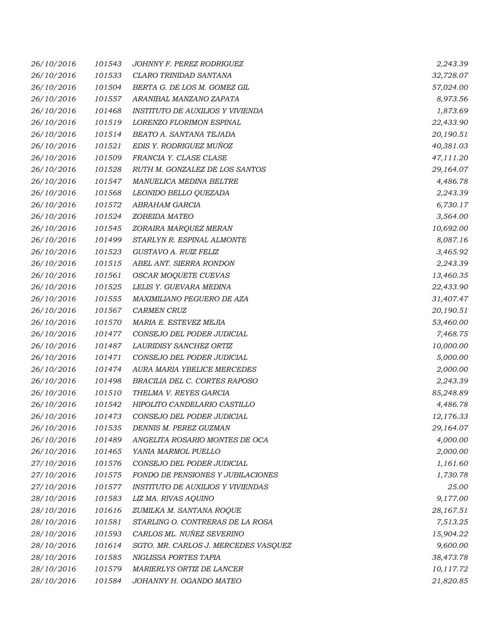| 26/10/2016 | 101543 | JOHNNY F. PEREZ RODRIGUEZ                | 2,243.39  |
|------------|--------|------------------------------------------|-----------|
| 26/10/2016 | 101533 | CLARO TRINIDAD SANTANA                   | 32,728.07 |
| 26/10/2016 | 101504 | BERTA G. DE LOS M. GOMEZ GIL             | 57,024.00 |
| 26/10/2016 | 101557 | ARANIBAL MANZANO ZAPATA                  | 8,973.56  |
| 26/10/2016 | 101468 | INSTITUTO DE AUXILIOS Y VIVIENDA         | 1,873.69  |
| 26/10/2016 | 101519 | LORENZO FLORIMON ESPINAL                 | 22,433.90 |
| 26/10/2016 | 101514 | BEATO A. SANTANA TEJADA                  | 20,190.51 |
| 26/10/2016 | 101521 | EDIS Y. RODRIGUEZ MUÑOZ                  | 40,381.03 |
| 26/10/2016 | 101509 | FRANCIA Y. CLASE CLASE                   | 47,111.20 |
| 26/10/2016 | 101528 | RUTH M. GONZALEZ DE LOS SANTOS           | 29,164.07 |
| 26/10/2016 | 101547 | MANUELICA MEDINA BELTRE                  | 4,486.78  |
| 26/10/2016 | 101568 | LEONIDO BELLO QUEZADA                    | 2,243.39  |
| 26/10/2016 | 101572 | ABRAHAM GARCIA                           | 6,730.17  |
| 26/10/2016 | 101524 | ZOBEIDA MATEO                            | 3,564.00  |
| 26/10/2016 | 101545 | ZORAIRA MARQUEZ MERAN                    | 10,692.00 |
| 26/10/2016 | 101499 | STARLYN R. ESPINAL ALMONTE               | 8,087.16  |
| 26/10/2016 | 101523 | GUSTAVO A. RUIZ FELIZ                    | 3,465.92  |
| 26/10/2016 | 101515 | ABEL ANT. SIERRA RONDON                  | 2,243.39  |
| 26/10/2016 | 101561 | <b>OSCAR MOQUETE CUEVAS</b>              | 13,460.35 |
| 26/10/2016 | 101525 | LELIS Y. GUEVARA MEDINA                  | 22,433.90 |
| 26/10/2016 | 101555 | MAXIMILIANO PEGUERO DE AZA               | 31,407.47 |
| 26/10/2016 | 101567 | <b>CARMEN CRUZ</b>                       | 20,190.51 |
| 26/10/2016 | 101570 | MARIA E. ESTEVEZ MEJIA                   | 53,460.00 |
| 26/10/2016 | 101477 | CONSEJO DEL PODER JUDICIAL               | 7,468.75  |
| 26/10/2016 | 101487 | LAURIDISY SANCHEZ ORTIZ                  | 10,000.00 |
| 26/10/2016 | 101471 | CONSEJO DEL PODER JUDICIAL               | 5,000.00  |
| 26/10/2016 | 101474 | AURA MARIA YBELICE MERCEDES              | 2,000.00  |
| 26/10/2016 | 101498 | BRACILIA DEL C. CORTES RAPOSO            | 2,243.39  |
| 26/10/2016 | 101510 | THELMA V. REYES GARCIA                   | 85,248.89 |
| 26/10/2016 | 101542 | HIPOLITO CANDELARIO CASTILLO             | 4,486.78  |
| 26/10/2016 | 101473 | CONSEJO DEL PODER JUDICIAL               | 12,176.33 |
| 26/10/2016 | 101535 | DENNIS M. PEREZ GUZMAN                   | 29,164.07 |
| 26/10/2016 | 101489 | ANGELITA ROSARIO MONTES DE OCA           | 4,000.00  |
| 26/10/2016 | 101465 | YANIA MARMOL PUELLO                      | 2,000.00  |
| 27/10/2016 | 101576 | CONSEJO DEL PODER JUDICIAL               | 1,161.60  |
| 27/10/2016 | 101575 | FONDO DE PENSIONES Y JUBILACIONES        | 1,730.78  |
| 27/10/2016 | 101577 | <b>INSTITUTO DE AUXILIOS Y VIVIENDAS</b> | 25.00     |
| 28/10/2016 | 101583 | LIZ MA. RIVAS AQUINO                     | 9,177.00  |
| 28/10/2016 | 101616 | ZUMILKA M. SANTANA ROQUE                 | 28,167.51 |
| 28/10/2016 | 101581 | STARLING O. CONTRERAS DE LA ROSA         | 7,513.25  |
| 28/10/2016 | 101593 | CARLOS ML. NUÑEZ SEVERINO                | 15,904.22 |
| 28/10/2016 | 101614 | SGTO. MR. CARLOS J. MERCEDES VASQUEZ     | 9,600.00  |
| 28/10/2016 | 101585 | NIGLISSA PORTES TAPIA                    | 38,473.78 |
| 28/10/2016 | 101579 | MARIERLYS ORTIZ DE LANCER                | 10,117.72 |
| 28/10/2016 | 101584 | JOHANNY H. OGANDO MATEO                  | 21,820.85 |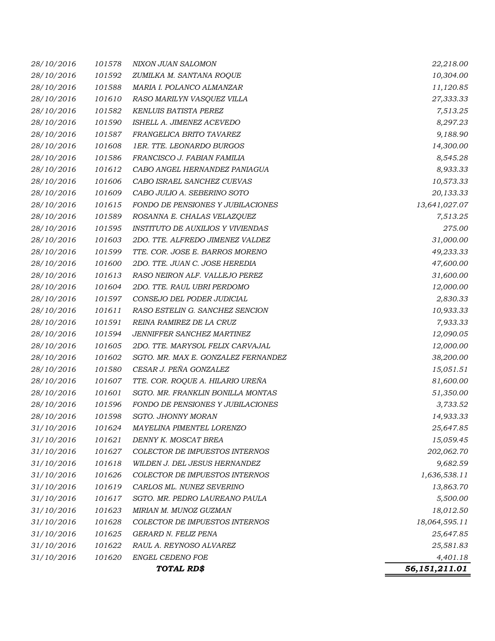|            |        | TOTAL RD\$                               | 56,151,211.01 |
|------------|--------|------------------------------------------|---------------|
| 31/10/2016 | 101620 | <b>ENGEL CEDENO FOE</b>                  | 4,401.18      |
| 31/10/2016 | 101622 | RAUL A. REYNOSO ALVAREZ                  | 25,581.83     |
| 31/10/2016 | 101625 | GERARD N. FELIZ PENA                     | 25,647.85     |
| 31/10/2016 | 101628 | COLECTOR DE IMPUESTOS INTERNOS           | 18,064,595.11 |
| 31/10/2016 | 101623 | MIRIAN M. MUNOZ GUZMAN                   | 18,012.50     |
| 31/10/2016 | 101617 | SGTO. MR. PEDRO LAUREANO PAULA           | 5,500.00      |
| 31/10/2016 | 101619 | CARLOS ML. NUNEZ SEVERINO                | 13,863.70     |
| 31/10/2016 | 101626 | COLECTOR DE IMPUESTOS INTERNOS           | 1,636,538.11  |
| 31/10/2016 | 101618 | WILDEN J. DEL JESUS HERNANDEZ            | 9,682.59      |
| 31/10/2016 | 101627 | <b>COLECTOR DE IMPUESTOS INTERNOS</b>    | 202,062.70    |
| 31/10/2016 | 101621 | DENNY K. MOSCAT BREA                     | 15,059.45     |
| 31/10/2016 | 101624 | MAYELINA PIMENTEL LORENZO                | 25,647.85     |
| 28/10/2016 | 101598 | SGTO. JHONNY MORAN                       | 14,933.33     |
| 28/10/2016 | 101596 | FONDO DE PENSIONES Y JUBILACIONES        | 3,733.52      |
| 28/10/2016 | 101601 | SGTO. MR. FRANKLIN BONILLA MONTAS        | 51,350.00     |
| 28/10/2016 | 101607 | TTE. COR. ROQUE A. HILARIO UREÑA         | 81,600.00     |
| 28/10/2016 | 101580 | CESAR J. PEÑA GONZALEZ                   | 15,051.51     |
| 28/10/2016 | 101602 | SGTO. MR. MAX E. GONZALEZ FERNANDEZ      | 38,200.00     |
| 28/10/2016 | 101605 | 2DO. TTE. MARYSOL FELIX CARVAJAL         | 12,000.00     |
| 28/10/2016 | 101594 | JENNIFFER SANCHEZ MARTINEZ               | 12,090.05     |
| 28/10/2016 | 101591 | REINA RAMIREZ DE LA CRUZ                 | 7,933.33      |
| 28/10/2016 | 101611 | RASO ESTELIN G. SANCHEZ SENCION          | 10,933.33     |
| 28/10/2016 | 101597 | CONSEJO DEL PODER JUDICIAL               | 2,830.33      |
| 28/10/2016 | 101604 | 2DO. TTE. RAUL UBRI PERDOMO              | 12,000.00     |
| 28/10/2016 | 101613 | RASO NEIRON ALF. VALLEJO PEREZ           | 31,600.00     |
| 28/10/2016 | 101600 | 2DO. TTE. JUAN C. JOSE HEREDIA           | 47,600.00     |
| 28/10/2016 | 101599 | TTE. COR. JOSE E. BARROS MORENO          | 49,233.33     |
| 28/10/2016 | 101603 | 2DO. TTE. ALFREDO JIMENEZ VALDEZ         | 31,000.00     |
| 28/10/2016 | 101595 | <b>INSTITUTO DE AUXILIOS Y VIVIENDAS</b> | 275.00        |
| 28/10/2016 | 101589 | ROSANNA E. CHALAS VELAZQUEZ              | 7,513.25      |
| 28/10/2016 | 101615 | FONDO DE PENSIONES Y JUBILACIONES        | 13,641,027.07 |
| 28/10/2016 | 101609 | CABO JULIO A. SEBERINO SOTO              | 20,133.33     |
| 28/10/2016 | 101606 | CABO ISRAEL SANCHEZ CUEVAS               | 10,573.33     |
| 28/10/2016 | 101612 | CABO ANGEL HERNANDEZ PANIAGUA            | 8,933.33      |
| 28/10/2016 | 101586 | FRANCISCO J. FABIAN FAMILIA              | 8,545.28      |
| 28/10/2016 | 101608 | 1ER. TTE. LEONARDO BURGOS                | 14,300.00     |
| 28/10/2016 | 101587 | FRANGELICA BRITO TAVAREZ                 | 9,188.90      |
| 28/10/2016 | 101590 | ISHELL A. JIMENEZ ACEVEDO                | 8,297.23      |
| 28/10/2016 | 101582 | KENLUIS BATISTA PEREZ                    | 7,513.25      |
| 28/10/2016 | 101610 | RASO MARILYN VASQUEZ VILLA               | 27,333.33     |
| 28/10/2016 | 101588 | MARIA I. POLANCO ALMANZAR                | 11,120.85     |
| 28/10/2016 | 101592 | ZUMILKA M. SANTANA ROQUE                 | 10,304.00     |
| 28/10/2016 | 101578 | NIXON JUAN SALOMON                       | 22,218.00     |